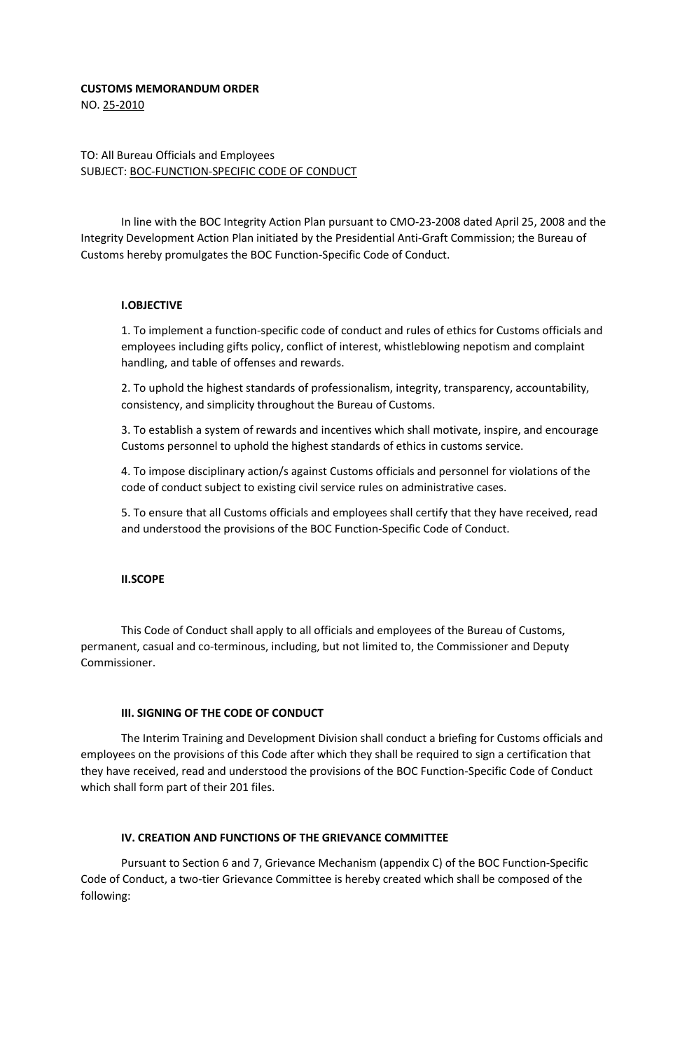### **CUSTOMS MEMORANDUM ORDER**

NO. 25-2010

## TO: All Bureau Officials and Employees SUBJECT: BOC-FUNCTION-SPECIFIC CODE OF CONDUCT

In line with the BOC Integrity Action Plan pursuant to CMO-23-2008 dated April 25, 2008 and the Integrity Development Action Plan initiated by the Presidential Anti-Graft Commission; the Bureau of Customs hereby promulgates the BOC Function-Specific Code of Conduct.

## **I.OBJECTIVE**

1. To implement a function-specific code of conduct and rules of ethics for Customs officials and employees including gifts policy, conflict of interest, whistleblowing nepotism and complaint handling, and table of offenses and rewards.

2. To uphold the highest standards of professionalism, integrity, transparency, accountability, consistency, and simplicity throughout the Bureau of Customs.

3. To establish a system of rewards and incentives which shall motivate, inspire, and encourage Customs personnel to uphold the highest standards of ethics in customs service.

4. To impose disciplinary action/s against Customs officials and personnel for violations of the code of conduct subject to existing civil service rules on administrative cases.

5. To ensure that all Customs officials and employees shall certify that they have received, read and understood the provisions of the BOC Function-Specific Code of Conduct.

## **II.SCOPE**

This Code of Conduct shall apply to all officials and employees of the Bureau of Customs, permanent, casual and co-terminous, including, but not limited to, the Commissioner and Deputy Commissioner.

## **III. SIGNING OF THE CODE OF CONDUCT**

The Interim Training and Development Division shall conduct a briefing for Customs officials and employees on the provisions of this Code after which they shall be required to sign a certification that they have received, read and understood the provisions of the BOC Function-Specific Code of Conduct which shall form part of their 201 files.

## **IV. CREATION AND FUNCTIONS OF THE GRIEVANCE COMMITTEE**

Pursuant to Section 6 and 7, Grievance Mechanism (appendix C) of the BOC Function-Specific Code of Conduct, a two-tier Grievance Committee is hereby created which shall be composed of the following: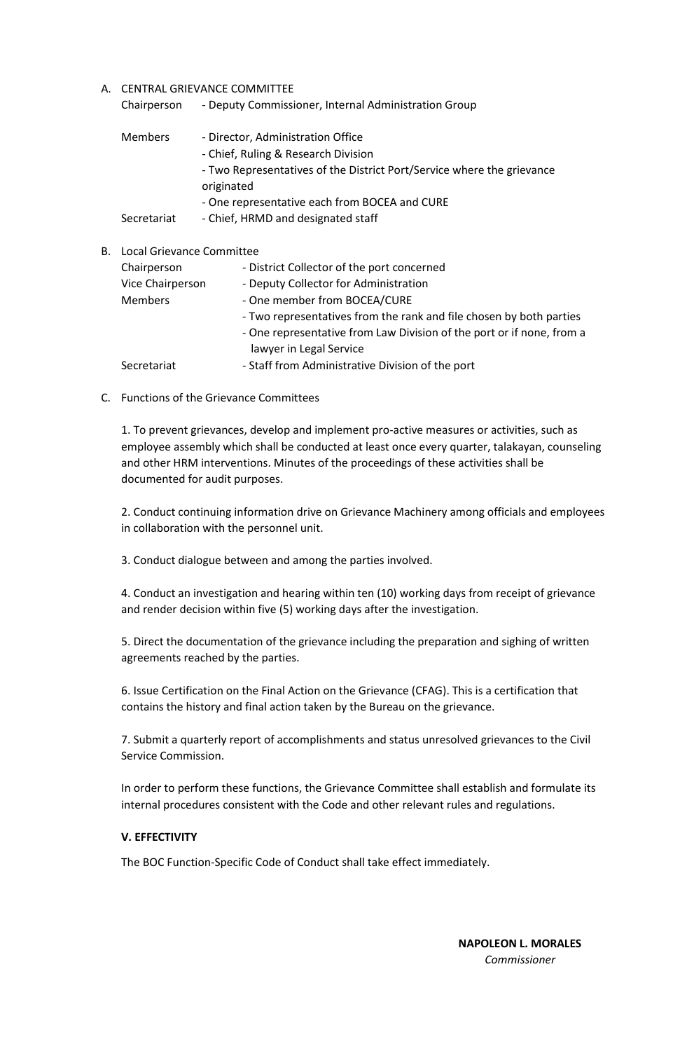### A. CENTRAL GRIEVANCE COMMITTEE

| Chairperson    | - Deputy Commissioner, Internal Administration Group                                                                                                                                                              |
|----------------|-------------------------------------------------------------------------------------------------------------------------------------------------------------------------------------------------------------------|
| <b>Members</b> | - Director, Administration Office<br>- Chief, Ruling & Research Division<br>- Two Representatives of the District Port/Service where the grievance<br>originated<br>- One representative each from BOCEA and CURE |
| Secretariat    | - Chief, HRMD and designated staff                                                                                                                                                                                |

| <b>B.</b> Local Grievance Committee |                                                                       |
|-------------------------------------|-----------------------------------------------------------------------|
| Chairperson                         | - District Collector of the port concerned                            |
| Vice Chairperson                    | - Deputy Collector for Administration                                 |
| <b>Members</b>                      | - One member from BOCEA/CURE                                          |
|                                     | - Two representatives from the rank and file chosen by both parties   |
|                                     | - One representative from Law Division of the port or if none, from a |
|                                     | lawyer in Legal Service                                               |
| Secretariat                         | - Staff from Administrative Division of the port                      |
|                                     |                                                                       |

C. Functions of the Grievance Committees

1. To prevent grievances, develop and implement pro-active measures or activities, such as employee assembly which shall be conducted at least once every quarter, talakayan, counseling and other HRM interventions. Minutes of the proceedings of these activities shall be documented for audit purposes.

2. Conduct continuing information drive on Grievance Machinery among officials and employees in collaboration with the personnel unit.

3. Conduct dialogue between and among the parties involved.

4. Conduct an investigation and hearing within ten (10) working days from receipt of grievance and render decision within five (5) working days after the investigation.

5. Direct the documentation of the grievance including the preparation and sighing of written agreements reached by the parties.

6. Issue Certification on the Final Action on the Grievance (CFAG). This is a certification that contains the history and final action taken by the Bureau on the grievance.

7. Submit a quarterly report of accomplishments and status unresolved grievances to the Civil Service Commission.

In order to perform these functions, the Grievance Committee shall establish and formulate its internal procedures consistent with the Code and other relevant rules and regulations.

## **V. EFFECTIVITY**

The BOC Function-Specific Code of Conduct shall take effect immediately.

 **NAPOLEON L. MORALES** *Commissioner*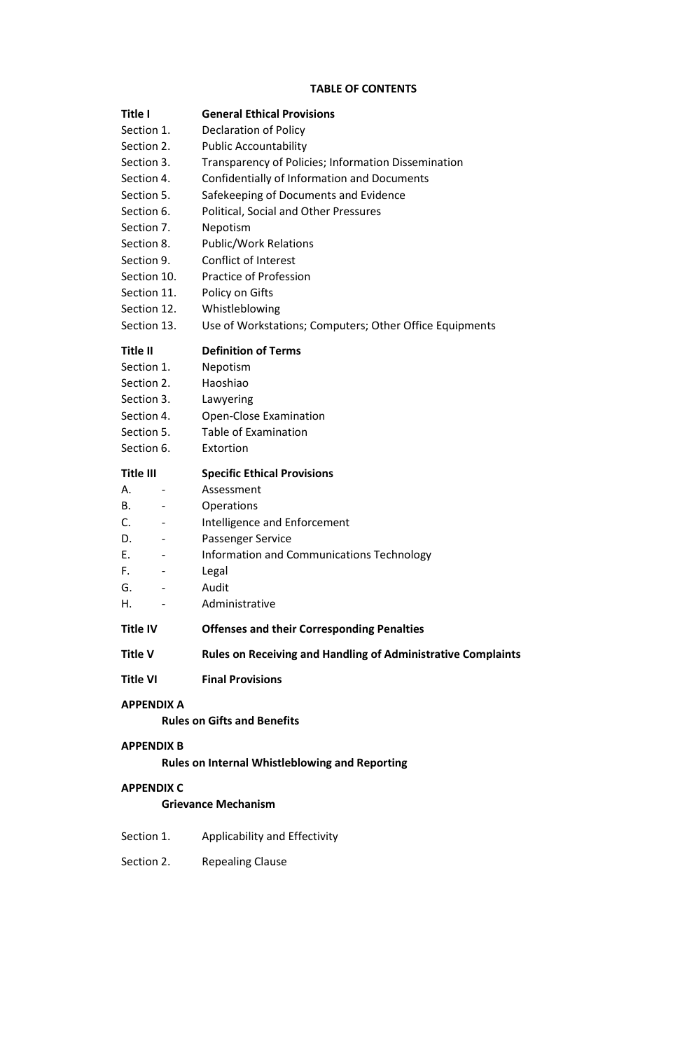## **TABLE OF CONTENTS**

| Title I                        | <b>General Ethical Provisions</b>                                   |
|--------------------------------|---------------------------------------------------------------------|
| Section 1.                     | <b>Declaration of Policy</b>                                        |
| Section 2.                     | <b>Public Accountability</b>                                        |
| Section 3.                     | Transparency of Policies; Information Dissemination                 |
| Section 4.                     | Confidentially of Information and Documents                         |
| Section 5.                     | Safekeeping of Documents and Evidence                               |
| Section 6.                     | Political, Social and Other Pressures                               |
| Section 7.                     | Nepotism                                                            |
| Section 8.                     | <b>Public/Work Relations</b>                                        |
| Section 9.                     | <b>Conflict of Interest</b>                                         |
| Section 10.                    | Practice of Profession                                              |
| Section 11.                    | Policy on Gifts                                                     |
| Section 12.                    | Whistleblowing                                                      |
| Section 13.                    | Use of Workstations; Computers; Other Office Equipments             |
| Title II                       | <b>Definition of Terms</b>                                          |
| Section 1.                     | Nepotism                                                            |
| Section 2.                     | Haoshiao                                                            |
| Section 3.                     | Lawyering                                                           |
| Section 4.                     | <b>Open-Close Examination</b>                                       |
| Section 5.                     | <b>Table of Examination</b>                                         |
| Section 6.                     | Extortion                                                           |
| Title III                      | <b>Specific Ethical Provisions</b>                                  |
| А.                             | Assessment                                                          |
| В.                             | Operations                                                          |
| C.<br>-                        | Intelligence and Enforcement                                        |
| D.                             | Passenger Service                                                   |
| Е.                             | Information and Communications Technology                           |
| F.<br>$\overline{\phantom{a}}$ | Legal                                                               |
| G.                             | Audit                                                               |
| н.                             | Administrative                                                      |
| Title IV                       | <b>Offenses and their Corresponding Penalties</b>                   |
| Title V                        | <b>Rules on Receiving and Handling of Administrative Complaints</b> |
| <b>Title VI</b>                | <b>Final Provisions</b>                                             |
| <b>APPENDIX A</b>              |                                                                     |
|                                | <b>Rules on Gifts and Benefits</b>                                  |
| APPENDIX B                     |                                                                     |
|                                | <b>Rules on Internal Whistleblowing and Reporting</b>               |
| APPENDIX C                     |                                                                     |
|                                | <b>Grievance Mechanism</b>                                          |
| Section 1.                     | Applicability and Effectivity                                       |
| Section 2.                     | <b>Repealing Clause</b>                                             |
|                                |                                                                     |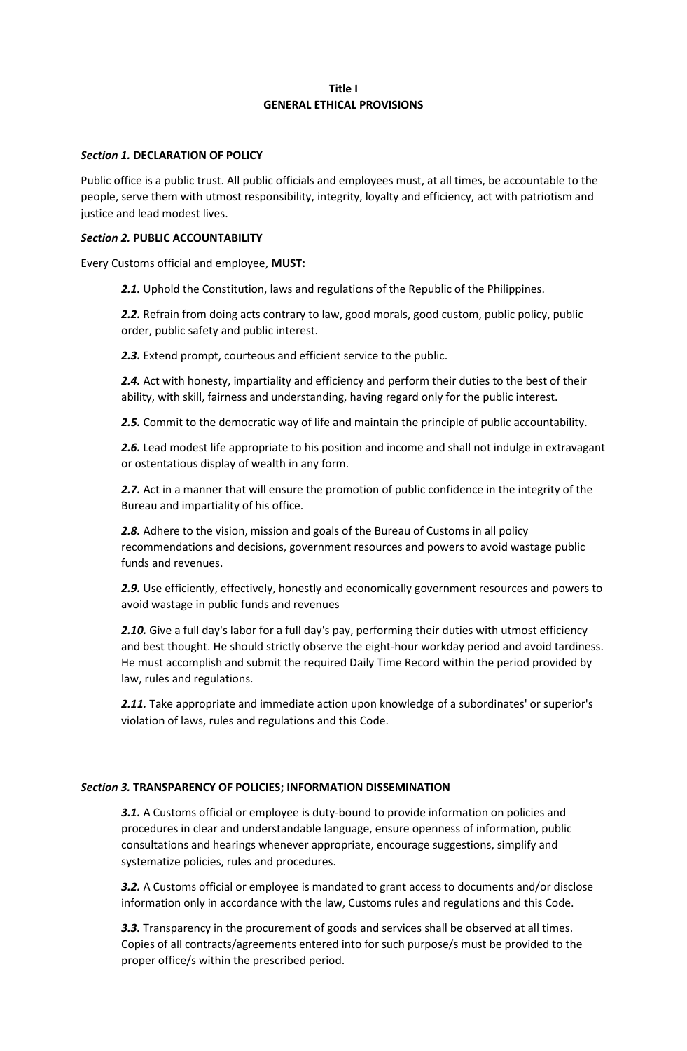## **Title I GENERAL ETHICAL PROVISIONS**

### *Section 1.* **DECLARATION OF POLICY**

Public office is a public trust. All public officials and employees must, at all times, be accountable to the people, serve them with utmost responsibility, integrity, loyalty and efficiency, act with patriotism and justice and lead modest lives.

### *Section 2.* **PUBLIC ACCOUNTABILITY**

Every Customs official and employee, **MUST:**

2.1. Uphold the Constitution, laws and regulations of the Republic of the Philippines.

*2.2.* Refrain from doing acts contrary to law, good morals, good custom, public policy, public order, public safety and public interest.

*2.3.* Extend prompt, courteous and efficient service to the public.

*2.4.* Act with honesty, impartiality and efficiency and perform their duties to the best of their ability, with skill, fairness and understanding, having regard only for the public interest.

*2.5.* Commit to the democratic way of life and maintain the principle of public accountability.

*2.6.* Lead modest life appropriate to his position and income and shall not indulge in extravagant or ostentatious display of wealth in any form.

*2.7.* Act in a manner that will ensure the promotion of public confidence in the integrity of the Bureau and impartiality of his office.

*2.8.* Adhere to the vision, mission and goals of the Bureau of Customs in all policy recommendations and decisions, government resources and powers to avoid wastage public funds and revenues.

*2.9.* Use efficiently, effectively, honestly and economically government resources and powers to avoid wastage in public funds and revenues

2.10. Give a full day's labor for a full day's pay, performing their duties with utmost efficiency and best thought. He should strictly observe the eight-hour workday period and avoid tardiness. He must accomplish and submit the required Daily Time Record within the period provided by law, rules and regulations.

2.11. Take appropriate and immediate action upon knowledge of a subordinates' or superior's violation of laws, rules and regulations and this Code.

## *Section 3.* **TRANSPARENCY OF POLICIES; INFORMATION DISSEMINATION**

*3.1.* A Customs official or employee is duty-bound to provide information on policies and procedures in clear and understandable language, ensure openness of information, public consultations and hearings whenever appropriate, encourage suggestions, simplify and systematize policies, rules and procedures.

*3.2.* A Customs official or employee is mandated to grant access to documents and/or disclose information only in accordance with the law, Customs rules and regulations and this Code.

*3.3.* Transparency in the procurement of goods and services shall be observed at all times. Copies of all contracts/agreements entered into for such purpose/s must be provided to the proper office/s within the prescribed period.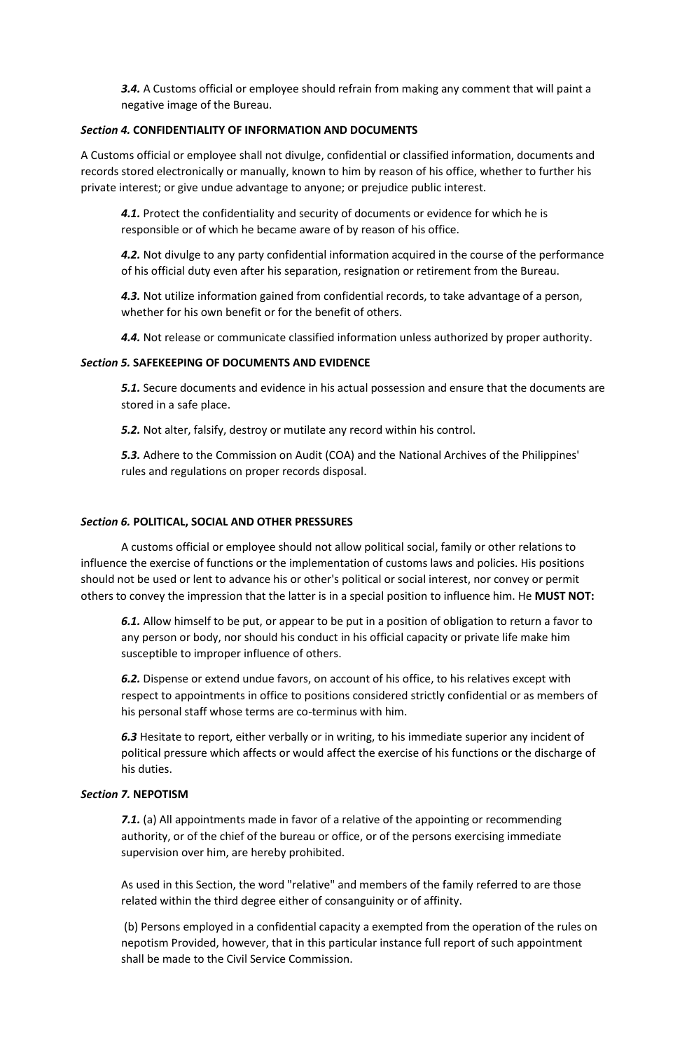*3.4.* A Customs official or employee should refrain from making any comment that will paint a negative image of the Bureau.

### *Section 4.* **CONFIDENTIALITY OF INFORMATION AND DOCUMENTS**

A Customs official or employee shall not divulge, confidential or classified information, documents and records stored electronically or manually, known to him by reason of his office, whether to further his private interest; or give undue advantage to anyone; or prejudice public interest.

*4.1.* Protect the confidentiality and security of documents or evidence for which he is responsible or of which he became aware of by reason of his office.

*4.2.* Not divulge to any party confidential information acquired in the course of the performance of his official duty even after his separation, resignation or retirement from the Bureau.

*4.3.* Not utilize information gained from confidential records, to take advantage of a person, whether for his own benefit or for the benefit of others.

*4.4.* Not release or communicate classified information unless authorized by proper authority.

### *Section 5.* **SAFEKEEPING OF DOCUMENTS AND EVIDENCE**

*5.1.* Secure documents and evidence in his actual possession and ensure that the documents are stored in a safe place.

*5.2.* Not alter, falsify, destroy or mutilate any record within his control.

*5.3.* Adhere to the Commission on Audit (COA) and the National Archives of the Philippines' rules and regulations on proper records disposal.

### *Section 6.* **POLITICAL, SOCIAL AND OTHER PRESSURES**

A customs official or employee should not allow political social, family or other relations to influence the exercise of functions or the implementation of customs laws and policies. His positions should not be used or lent to advance his or other's political or social interest, nor convey or permit others to convey the impression that the latter is in a special position to influence him. He **MUST NOT:**

*6.1.* Allow himself to be put, or appear to be put in a position of obligation to return a favor to any person or body, nor should his conduct in his official capacity or private life make him susceptible to improper influence of others.

*6.2.* Dispense or extend undue favors, on account of his office, to his relatives except with respect to appointments in office to positions considered strictly confidential or as members of his personal staff whose terms are co-terminus with him.

*6.3* Hesitate to report, either verbally or in writing, to his immediate superior any incident of political pressure which affects or would affect the exercise of his functions or the discharge of his duties.

#### *Section 7.* **NEPOTISM**

*7.1.* (a) All appointments made in favor of a relative of the appointing or recommending authority, or of the chief of the bureau or office, or of the persons exercising immediate supervision over him, are hereby prohibited.

As used in this Section, the word "relative" and members of the family referred to are those related within the third degree either of consanguinity or of affinity.

(b) Persons employed in a confidential capacity a exempted from the operation of the rules on nepotism Provided, however, that in this particular instance full report of such appointment shall be made to the Civil Service Commission.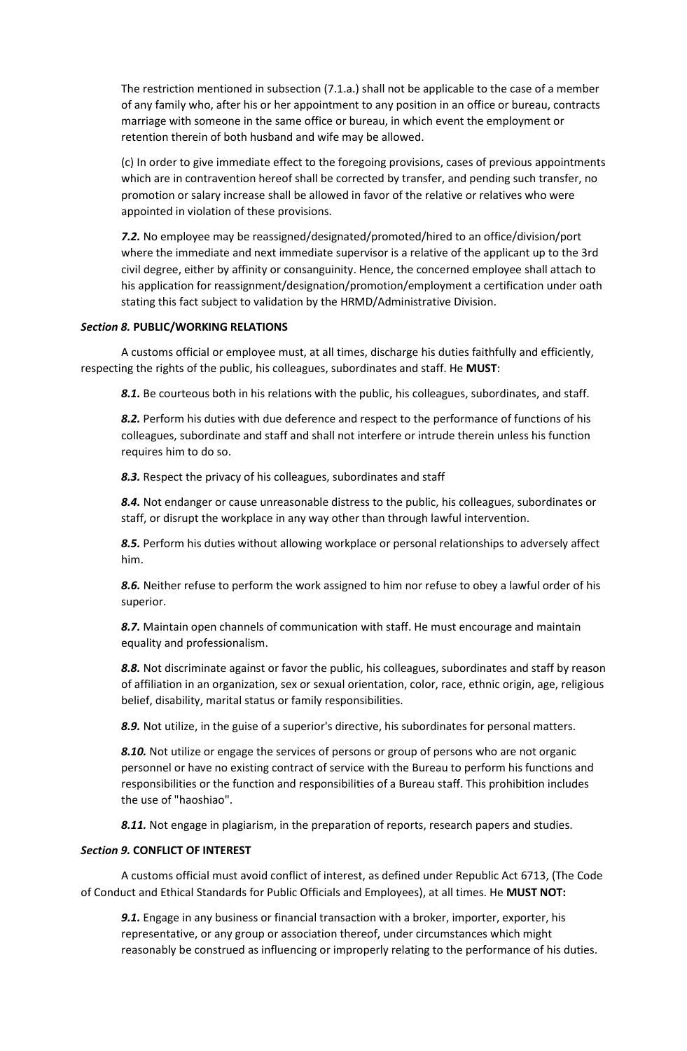The restriction mentioned in subsection (7.1.a.) shall not be applicable to the case of a member of any family who, after his or her appointment to any position in an office or bureau, contracts marriage with someone in the same office or bureau, in which event the employment or retention therein of both husband and wife may be allowed.

(c) In order to give immediate effect to the foregoing provisions, cases of previous appointments which are in contravention hereof shall be corrected by transfer, and pending such transfer, no promotion or salary increase shall be allowed in favor of the relative or relatives who were appointed in violation of these provisions.

*7.2.* No employee may be reassigned/designated/promoted/hired to an office/division/port where the immediate and next immediate supervisor is a relative of the applicant up to the 3rd civil degree, either by affinity or consanguinity. Hence, the concerned employee shall attach to his application for reassignment/designation/promotion/employment a certification under oath stating this fact subject to validation by the HRMD/Administrative Division.

## *Section 8.* **PUBLIC/WORKING RELATIONS**

A customs official or employee must, at all times, discharge his duties faithfully and efficiently, respecting the rights of the public, his colleagues, subordinates and staff. He **MUST**:

8.1. Be courteous both in his relations with the public, his colleagues, subordinates, and staff.

8.2. Perform his duties with due deference and respect to the performance of functions of his colleagues, subordinate and staff and shall not interfere or intrude therein unless his function requires him to do so.

*8.3.* Respect the privacy of his colleagues, subordinates and staff

*8.4.* Not endanger or cause unreasonable distress to the public, his colleagues, subordinates or staff, or disrupt the workplace in any way other than through lawful intervention.

*8.5.* Perform his duties without allowing workplace or personal relationships to adversely affect him.

*8.6.* Neither refuse to perform the work assigned to him nor refuse to obey a lawful order of his superior.

*8.7.* Maintain open channels of communication with staff. He must encourage and maintain equality and professionalism.

*8.8.* Not discriminate against or favor the public, his colleagues, subordinates and staff by reason of affiliation in an organization, sex or sexual orientation, color, race, ethnic origin, age, religious belief, disability, marital status or family responsibilities.

*8.9.* Not utilize, in the guise of a superior's directive, his subordinates for personal matters.

**8.10.** Not utilize or engage the services of persons or group of persons who are not organic personnel or have no existing contract of service with the Bureau to perform his functions and responsibilities or the function and responsibilities of a Bureau staff. This prohibition includes the use of "haoshiao".

*8.11.* Not engage in plagiarism, in the preparation of reports, research papers and studies.

### *Section 9.* **CONFLICT OF INTEREST**

A customs official must avoid conflict of interest, as defined under Republic Act 6713, (The Code of Conduct and Ethical Standards for Public Officials and Employees), at all times. He **MUST NOT:**

*9.1.* Engage in any business or financial transaction with a broker, importer, exporter, his representative, or any group or association thereof, under circumstances which might reasonably be construed as influencing or improperly relating to the performance of his duties.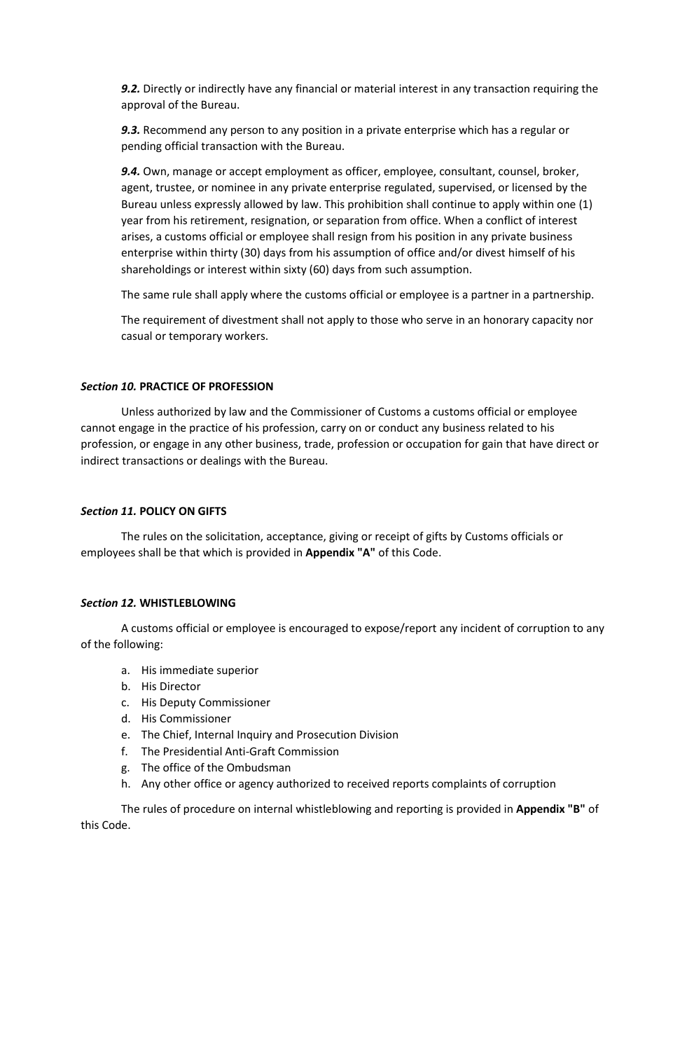*9.2.* Directly or indirectly have any financial or material interest in any transaction requiring the approval of the Bureau.

*9.3.* Recommend any person to any position in a private enterprise which has a regular or pending official transaction with the Bureau.

*9.4.* Own, manage or accept employment as officer, employee, consultant, counsel, broker, agent, trustee, or nominee in any private enterprise regulated, supervised, or licensed by the Bureau unless expressly allowed by law. This prohibition shall continue to apply within one (1) year from his retirement, resignation, or separation from office. When a conflict of interest arises, a customs official or employee shall resign from his position in any private business enterprise within thirty (30) days from his assumption of office and/or divest himself of his shareholdings or interest within sixty (60) days from such assumption.

The same rule shall apply where the customs official or employee is a partner in a partnership.

The requirement of divestment shall not apply to those who serve in an honorary capacity nor casual or temporary workers.

### *Section 10.* **PRACTICE OF PROFESSION**

Unless authorized by law and the Commissioner of Customs a customs official or employee cannot engage in the practice of his profession, carry on or conduct any business related to his profession, or engage in any other business, trade, profession or occupation for gain that have direct or indirect transactions or dealings with the Bureau.

### *Section 11.* **POLICY ON GIFTS**

The rules on the solicitation, acceptance, giving or receipt of gifts by Customs officials or employees shall be that which is provided in **Appendix "A"** of this Code.

### *Section 12.* **WHISTLEBLOWING**

A customs official or employee is encouraged to expose/report any incident of corruption to any of the following:

- a. His immediate superior
- b. His Director
- c. His Deputy Commissioner
- d. His Commissioner
- e. The Chief, Internal Inquiry and Prosecution Division
- f. The Presidential Anti-Graft Commission
- g. The office of the Ombudsman
- h. Any other office or agency authorized to received reports complaints of corruption

The rules of procedure on internal whistleblowing and reporting is provided in **Appendix "B"** of this Code.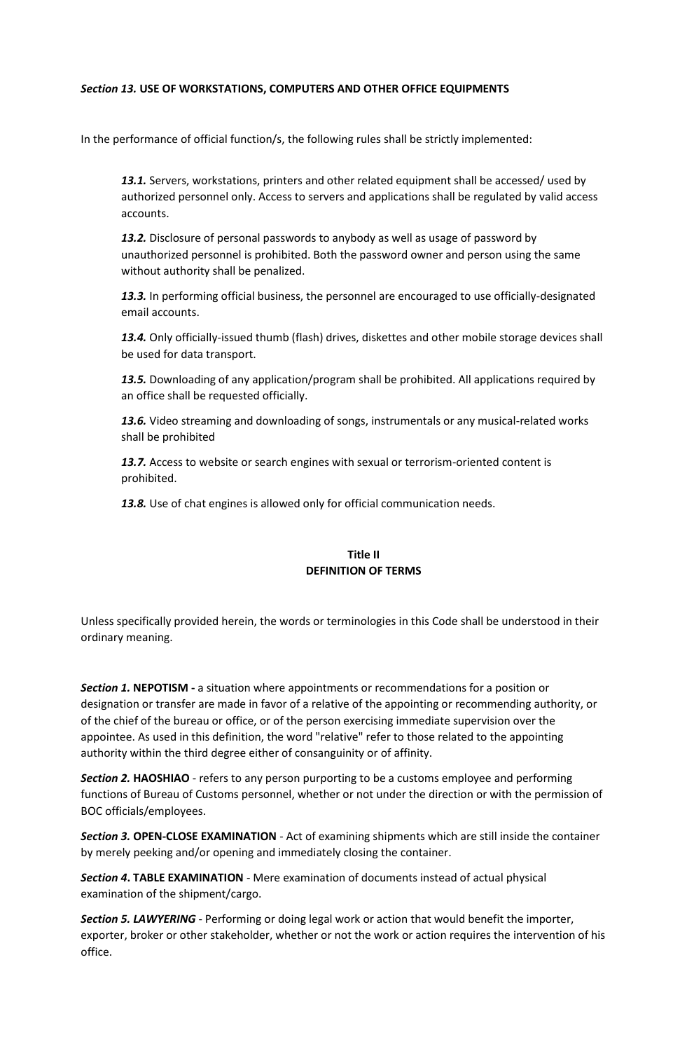## *Section 13.* **USE OF WORKSTATIONS, COMPUTERS AND OTHER OFFICE EQUIPMENTS**

In the performance of official function/s, the following rules shall be strictly implemented:

*13.1.* Servers, workstations, printers and other related equipment shall be accessed/ used by authorized personnel only. Access to servers and applications shall be regulated by valid access accounts.

*13.2.* Disclosure of personal passwords to anybody as well as usage of password by unauthorized personnel is prohibited. Both the password owner and person using the same without authority shall be penalized.

*13.3.* In performing official business, the personnel are encouraged to use officially-designated email accounts.

*13.4.* Only officially-issued thumb (flash) drives, diskettes and other mobile storage devices shall be used for data transport.

*13.5.* Downloading of any application/program shall be prohibited. All applications required by an office shall be requested officially.

*13.6.* Video streaming and downloading of songs, instrumentals or any musical-related works shall be prohibited

13.7. Access to website or search engines with sexual or terrorism-oriented content is prohibited.

*13.8.* Use of chat engines is allowed only for official communication needs.

## **Title II DEFINITION OF TERMS**

Unless specifically provided herein, the words or terminologies in this Code shall be understood in their ordinary meaning.

**Section 1. NEPOTISM** - a situation where appointments or recommendations for a position or designation or transfer are made in favor of a relative of the appointing or recommending authority, or of the chief of the bureau or office, or of the person exercising immediate supervision over the appointee. As used in this definition, the word "relative" refer to those related to the appointing authority within the third degree either of consanguinity or of affinity.

**Section 2. HAOSHIAO** - refers to any person purporting to be a customs employee and performing functions of Bureau of Customs personnel, whether or not under the direction or with the permission of BOC officials/employees.

*Section 3.* **OPEN-CLOSE EXAMINATION** - Act of examining shipments which are still inside the container by merely peeking and/or opening and immediately closing the container.

*Section 4***. TABLE EXAMINATION** - Mere examination of documents instead of actual physical examination of the shipment/cargo.

*Section 5. LAWYERING* - Performing or doing legal work or action that would benefit the importer, exporter, broker or other stakeholder, whether or not the work or action requires the intervention of his office.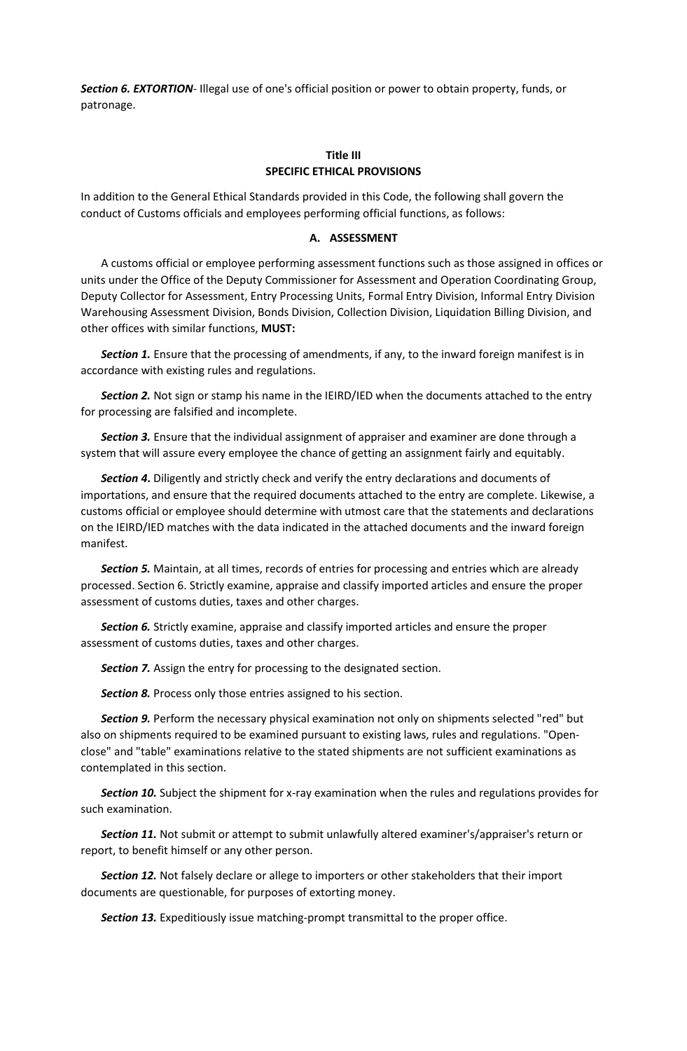*Section 6. EXTORTION*- Illegal use of one's official position or power to obtain property, funds, or patronage.

## **Title III SPECIFIC ETHICAL PROVISIONS**

In addition to the General Ethical Standards provided in this Code, the following shall govern the conduct of Customs officials and employees performing official functions, as follows:

#### **A. ASSESSMENT**

A customs official or employee performing assessment functions such as those assigned in offices or units under the Office of the Deputy Commissioner for Assessment and Operation Coordinating Group, Deputy Collector for Assessment, Entry Processing Units, Formal Entry Division, Informal Entry Division Warehousing Assessment Division, Bonds Division, Collection Division, Liquidation Billing Division, and other offices with similar functions, **MUST:**

*Section 1.* Ensure that the processing of amendments, if any, to the inward foreign manifest is in accordance with existing rules and regulations.

*Section 2.* Not sign or stamp his name in the IEIRD/IED when the documents attached to the entry for processing are falsified and incomplete.

*Section 3.* Ensure that the individual assignment of appraiser and examiner are done through a system that will assure every employee the chance of getting an assignment fairly and equitably.

*Section 4***.** Diligently and strictly check and verify the entry declarations and documents of importations, and ensure that the required documents attached to the entry are complete. Likewise, a customs official or employee should determine with utmost care that the statements and declarations on the IEIRD/IED matches with the data indicated in the attached documents and the inward foreign manifest.

*Section 5.* Maintain, at all times, records of entries for processing and entries which are already processed. Section 6. Strictly examine, appraise and classify imported articles and ensure the proper assessment of customs duties, taxes and other charges.

*Section 6.* Strictly examine, appraise and classify imported articles and ensure the proper assessment of customs duties, taxes and other charges.

**Section 7.** Assign the entry for processing to the designated section.

*Section 8.* Process only those entries assigned to his section.

*Section 9.* Perform the necessary physical examination not only on shipments selected "red" but also on shipments required to be examined pursuant to existing laws, rules and regulations. "Openclose" and "table" examinations relative to the stated shipments are not sufficient examinations as contemplated in this section.

**Section 10.** Subject the shipment for x-ray examination when the rules and regulations provides for such examination.

Section 11. Not submit or attempt to submit unlawfully altered examiner's/appraiser's return or report, to benefit himself or any other person.

*Section 12.* Not falsely declare or allege to importers or other stakeholders that their import documents are questionable, for purposes of extorting money.

*Section 13.* Expeditiously issue matching-prompt transmittal to the proper office.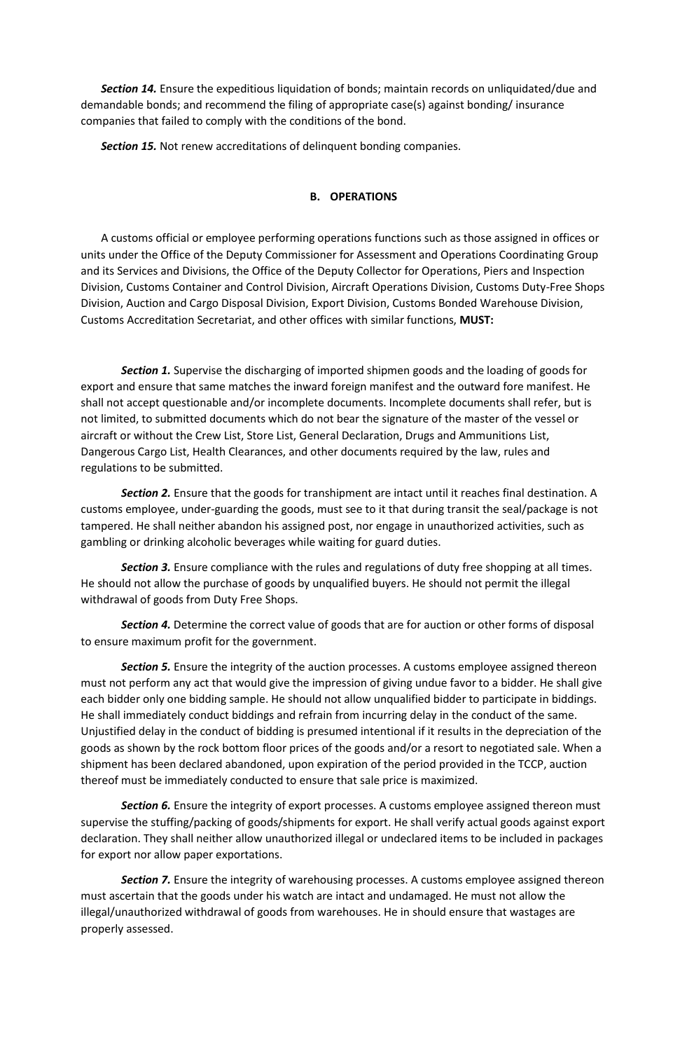*Section 14.* Ensure the expeditious liquidation of bonds; maintain records on unliquidated/due and demandable bonds; and recommend the filing of appropriate case(s) against bonding/ insurance companies that failed to comply with the conditions of the bond.

*Section 15.* Not renew accreditations of delinquent bonding companies.

## **B. OPERATIONS**

A customs official or employee performing operations functions such as those assigned in offices or units under the Office of the Deputy Commissioner for Assessment and Operations Coordinating Group and its Services and Divisions, the Office of the Deputy Collector for Operations, Piers and Inspection Division, Customs Container and Control Division, Aircraft Operations Division, Customs Duty-Free Shops Division, Auction and Cargo Disposal Division, Export Division, Customs Bonded Warehouse Division, Customs Accreditation Secretariat, and other offices with similar functions, **MUST:**

*Section 1.* Supervise the discharging of imported shipmen goods and the loading of goods for export and ensure that same matches the inward foreign manifest and the outward fore manifest. He shall not accept questionable and/or incomplete documents. Incomplete documents shall refer, but is not limited, to submitted documents which do not bear the signature of the master of the vessel or aircraft or without the Crew List, Store List, General Declaration, Drugs and Ammunitions List, Dangerous Cargo List, Health Clearances, and other documents required by the law, rules and regulations to be submitted.

*Section 2.* Ensure that the goods for transhipment are intact until it reaches final destination. A customs employee, under-guarding the goods, must see to it that during transit the seal/package is not tampered. He shall neither abandon his assigned post, nor engage in unauthorized activities, such as gambling or drinking alcoholic beverages while waiting for guard duties.

*Section 3.* Ensure compliance with the rules and regulations of duty free shopping at all times. He should not allow the purchase of goods by unqualified buyers. He should not permit the illegal withdrawal of goods from Duty Free Shops.

*Section 4.* Determine the correct value of goods that are for auction or other forms of disposal to ensure maximum profit for the government.

*Section 5.* Ensure the integrity of the auction processes. A customs employee assigned thereon must not perform any act that would give the impression of giving undue favor to a bidder. He shall give each bidder only one bidding sample. He should not allow unqualified bidder to participate in biddings. He shall immediately conduct biddings and refrain from incurring delay in the conduct of the same. Unjustified delay in the conduct of bidding is presumed intentional if it results in the depreciation of the goods as shown by the rock bottom floor prices of the goods and/or a resort to negotiated sale. When a shipment has been declared abandoned, upon expiration of the period provided in the TCCP, auction thereof must be immediately conducted to ensure that sale price is maximized.

**Section 6.** Ensure the integrity of export processes. A customs employee assigned thereon must supervise the stuffing/packing of goods/shipments for export. He shall verify actual goods against export declaration. They shall neither allow unauthorized illegal or undeclared items to be included in packages for export nor allow paper exportations.

*Section 7.* Ensure the integrity of warehousing processes. A customs employee assigned thereon must ascertain that the goods under his watch are intact and undamaged. He must not allow the illegal/unauthorized withdrawal of goods from warehouses. He in should ensure that wastages are properly assessed.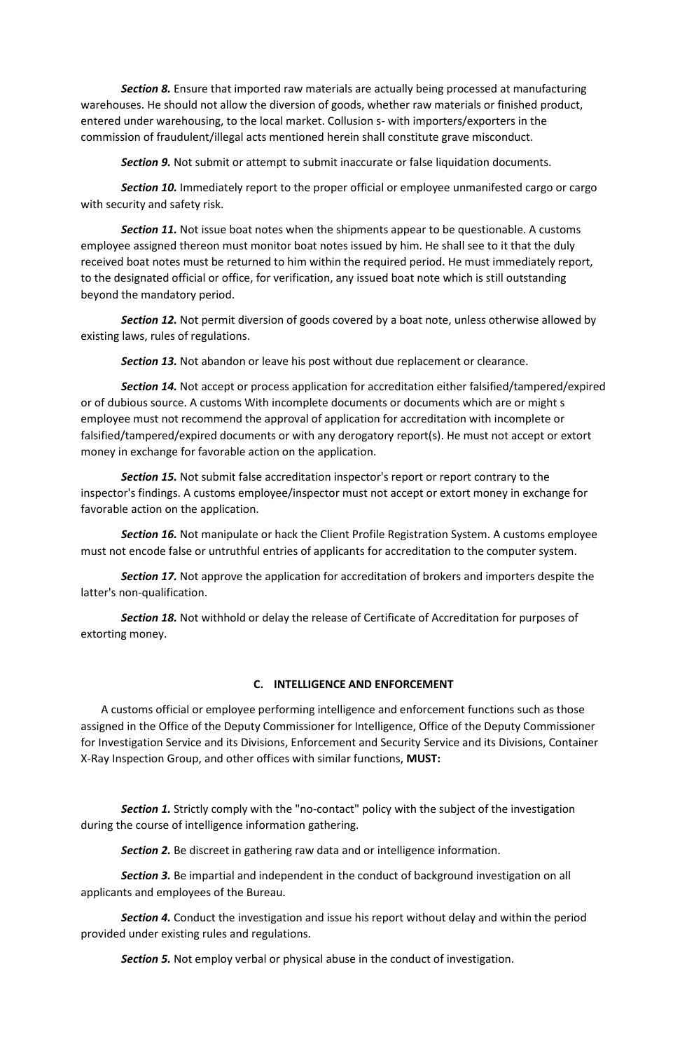*Section 8.* Ensure that imported raw materials are actually being processed at manufacturing warehouses. He should not allow the diversion of goods, whether raw materials or finished product, entered under warehousing, to the local market. Collusion s- with importers/exporters in the commission of fraudulent/illegal acts mentioned herein shall constitute grave misconduct.

*Section 9.* Not submit or attempt to submit inaccurate or false liquidation documents.

*Section 10.* Immediately report to the proper official or employee unmanifested cargo or cargo with security and safety risk.

**Section 11.** Not issue boat notes when the shipments appear to be questionable. A customs employee assigned thereon must monitor boat notes issued by him. He shall see to it that the duly received boat notes must be returned to him within the required period. He must immediately report, to the designated official or office, for verification, any issued boat note which is still outstanding beyond the mandatory period.

*Section 12.* Not permit diversion of goods covered by a boat note, unless otherwise allowed by existing laws, rules of regulations.

**Section 13.** Not abandon or leave his post without due replacement or clearance.

*Section 14.* Not accept or process application for accreditation either falsified/tampered/expired or of dubious source. A customs With incomplete documents or documents which are or might s employee must not recommend the approval of application for accreditation with incomplete or falsified/tampered/expired documents or with any derogatory report(s). He must not accept or extort money in exchange for favorable action on the application.

*Section 15.* Not submit false accreditation inspector's report or report contrary to the inspector's findings. A customs employee/inspector must not accept or extort money in exchange for favorable action on the application.

*Section 16.* Not manipulate or hack the Client Profile Registration System. A customs employee must not encode false or untruthful entries of applicants for accreditation to the computer system.

*Section 17.* Not approve the application for accreditation of brokers and importers despite the latter's non-qualification.

*Section 18.* Not withhold or delay the release of Certificate of Accreditation for purposes of extorting money.

### **C. INTELLIGENCE AND ENFORCEMENT**

A customs official or employee performing intelligence and enforcement functions such as those assigned in the Office of the Deputy Commissioner for Intelligence, Office of the Deputy Commissioner for Investigation Service and its Divisions, Enforcement and Security Service and its Divisions, Container X-Ray Inspection Group, and other offices with similar functions, **MUST:**

*Section 1.* Strictly comply with the "no-contact" policy with the subject of the investigation during the course of intelligence information gathering.

*Section 2.* Be discreet in gathering raw data and or intelligence information.

*Section 3.* Be impartial and independent in the conduct of background investigation on all applicants and employees of the Bureau.

*Section 4.* Conduct the investigation and issue his report without delay and within the period provided under existing rules and regulations.

*Section 5.* Not employ verbal or physical abuse in the conduct of investigation.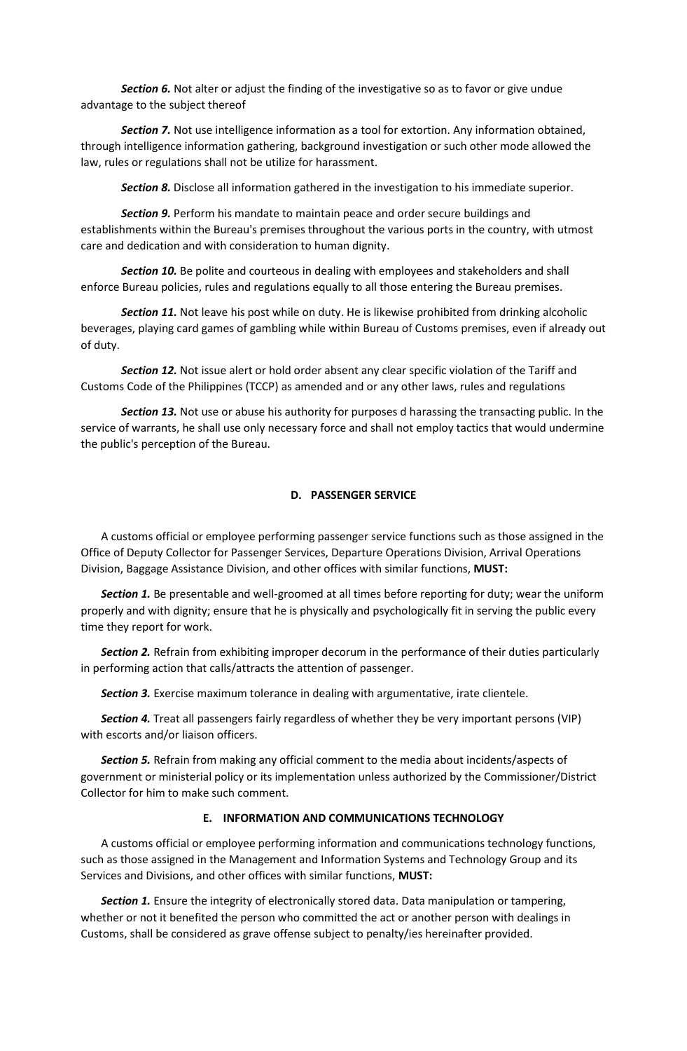*Section 6.* Not alter or adjust the finding of the investigative so as to favor or give undue advantage to the subject thereof

*Section 7.* Not use intelligence information as a tool for extortion. Any information obtained, through intelligence information gathering, background investigation or such other mode allowed the law, rules or regulations shall not be utilize for harassment.

*Section 8.* Disclose all information gathered in the investigation to his immediate superior.

*Section 9.* Perform his mandate to maintain peace and order secure buildings and establishments within the Bureau's premises throughout the various ports in the country, with utmost care and dedication and with consideration to human dignity.

**Section 10.** Be polite and courteous in dealing with employees and stakeholders and shall enforce Bureau policies, rules and regulations equally to all those entering the Bureau premises.

**Section 11.** Not leave his post while on duty. He is likewise prohibited from drinking alcoholic beverages, playing card games of gambling while within Bureau of Customs premises, even if already out of duty.

*Section 12.* Not issue alert or hold order absent any clear specific violation of the Tariff and Customs Code of the Philippines (TCCP) as amended and or any other laws, rules and regulations

*Section 13.* Not use or abuse his authority for purposes d harassing the transacting public. In the service of warrants, he shall use only necessary force and shall not employ tactics that would undermine the public's perception of the Bureau.

## **D. PASSENGER SERVICE**

A customs official or employee performing passenger service functions such as those assigned in the Office of Deputy Collector for Passenger Services, Departure Operations Division, Arrival Operations Division, Baggage Assistance Division, and other offices with similar functions, **MUST:**

*Section 1.* Be presentable and well-groomed at all times before reporting for duty; wear the uniform properly and with dignity; ensure that he is physically and psychologically fit in serving the public every time they report for work.

*Section 2.* Refrain from exhibiting improper decorum in the performance of their duties particularly in performing action that calls/attracts the attention of passenger.

*Section 3.* Exercise maximum tolerance in dealing with argumentative, irate clientele.

*Section 4.* Treat all passengers fairly regardless of whether they be very important persons (VIP) with escorts and/or liaison officers.

*Section 5.* Refrain from making any official comment to the media about incidents/aspects of government or ministerial policy or its implementation unless authorized by the Commissioner/District Collector for him to make such comment.

### **E. INFORMATION AND COMMUNICATIONS TECHNOLOGY**

A customs official or employee performing information and communications technology functions, such as those assigned in the Management and Information Systems and Technology Group and its Services and Divisions, and other offices with similar functions, **MUST:**

*Section 1.* Ensure the integrity of electronically stored data. Data manipulation or tampering, whether or not it benefited the person who committed the act or another person with dealings in Customs, shall be considered as grave offense subject to penalty/ies hereinafter provided.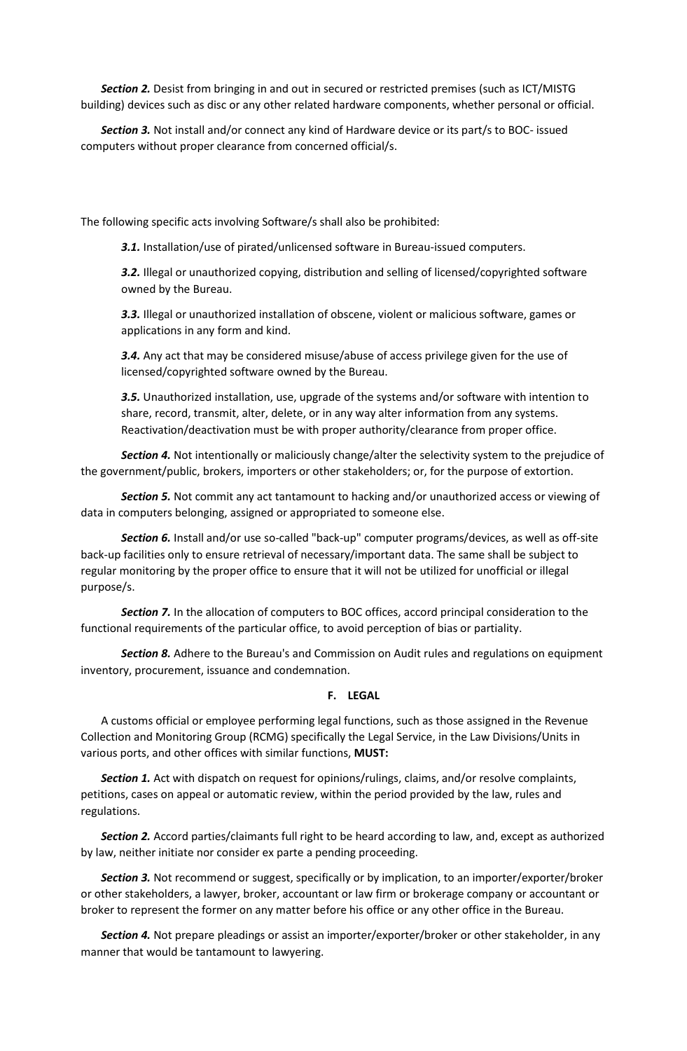*Section 2.* Desist from bringing in and out in secured or restricted premises (such as ICT/MISTG building) devices such as disc or any other related hardware components, whether personal or official.

*Section 3.* Not install and/or connect any kind of Hardware device or its part/s to BOC- issued computers without proper clearance from concerned official/s.

The following specific acts involving Software/s shall also be prohibited:

*3.1.* Installation/use of pirated/unlicensed software in Bureau-issued computers.

*3.2.* Illegal or unauthorized copying, distribution and selling of licensed/copyrighted software owned by the Bureau.

*3.3.* Illegal or unauthorized installation of obscene, violent or malicious software, games or applications in any form and kind.

*3.4.* Any act that may be considered misuse/abuse of access privilege given for the use of licensed/copyrighted software owned by the Bureau.

*3.5.* Unauthorized installation, use, upgrade of the systems and/or software with intention to share, record, transmit, alter, delete, or in any way alter information from any systems. Reactivation/deactivation must be with proper authority/clearance from proper office.

*Section 4.* Not intentionally or maliciously change/alter the selectivity system to the prejudice of the government/public, brokers, importers or other stakeholders; or, for the purpose of extortion.

*Section 5.* Not commit any act tantamount to hacking and/or unauthorized access or viewing of data in computers belonging, assigned or appropriated to someone else.

*Section 6.* Install and/or use so-called "back-up" computer programs/devices, as well as off-site back-up facilities only to ensure retrieval of necessary/important data. The same shall be subject to regular monitoring by the proper office to ensure that it will not be utilized for unofficial or illegal purpose/s.

*Section 7.* In the allocation of computers to BOC offices, accord principal consideration to the functional requirements of the particular office, to avoid perception of bias or partiality.

*Section 8.* Adhere to the Bureau's and Commission on Audit rules and regulations on equipment inventory, procurement, issuance and condemnation.

### **F. LEGAL**

A customs official or employee performing legal functions, such as those assigned in the Revenue Collection and Monitoring Group (RCMG) specifically the Legal Service, in the Law Divisions/Units in various ports, and other offices with similar functions, **MUST:**

*Section 1.* Act with dispatch on request for opinions/rulings, claims, and/or resolve complaints, petitions, cases on appeal or automatic review, within the period provided by the law, rules and regulations.

*Section 2.* Accord parties/claimants full right to be heard according to law, and, except as authorized by law, neither initiate nor consider ex parte a pending proceeding.

*Section 3.* Not recommend or suggest, specifically or by implication, to an importer/exporter/broker or other stakeholders, a lawyer, broker, accountant or law firm or brokerage company or accountant or broker to represent the former on any matter before his office or any other office in the Bureau.

*Section 4.* Not prepare pleadings or assist an importer/exporter/broker or other stakeholder, in any manner that would be tantamount to lawyering.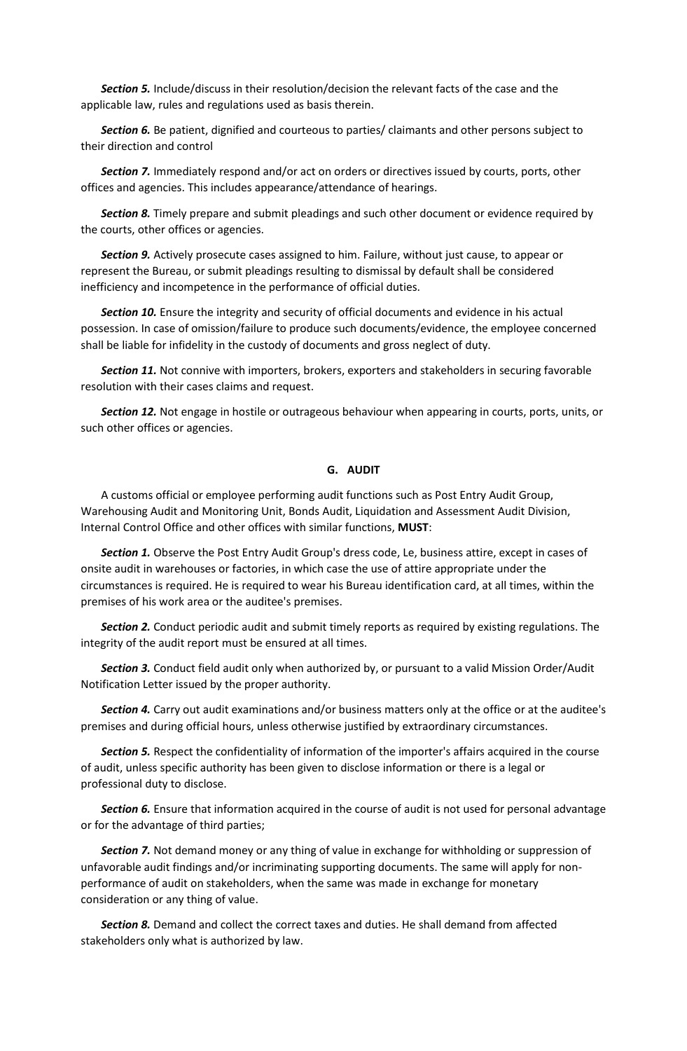*Section 5.* Include/discuss in their resolution/decision the relevant facts of the case and the applicable law, rules and regulations used as basis therein.

*Section 6.* Be patient, dignified and courteous to parties/ claimants and other persons subject to their direction and control

*Section 7.* Immediately respond and/or act on orders or directives issued by courts, ports, other offices and agencies. This includes appearance/attendance of hearings.

*Section 8.* Timely prepare and submit pleadings and such other document or evidence required by the courts, other offices or agencies.

*Section 9.* Actively prosecute cases assigned to him. Failure, without just cause, to appear or represent the Bureau, or submit pleadings resulting to dismissal by default shall be considered inefficiency and incompetence in the performance of official duties.

*Section 10.* Ensure the integrity and security of official documents and evidence in his actual possession. In case of omission/failure to produce such documents/evidence, the employee concerned shall be liable for infidelity in the custody of documents and gross neglect of duty.

*Section 11.* Not connive with importers, brokers, exporters and stakeholders in securing favorable resolution with their cases claims and request.

*Section 12.* Not engage in hostile or outrageous behaviour when appearing in courts, ports, units, or such other offices or agencies.

### **G. AUDIT**

A customs official or employee performing audit functions such as Post Entry Audit Group, Warehousing Audit and Monitoring Unit, Bonds Audit, Liquidation and Assessment Audit Division, Internal Control Office and other offices with similar functions, **MUST**:

*Section 1.* Observe the Post Entry Audit Group's dress code, Le, business attire, except in cases of onsite audit in warehouses or factories, in which case the use of attire appropriate under the circumstances is required. He is required to wear his Bureau identification card, at all times, within the premises of his work area or the auditee's premises.

*Section 2.* Conduct periodic audit and submit timely reports as required by existing regulations. The integrity of the audit report must be ensured at all times.

*Section 3.* Conduct field audit only when authorized by, or pursuant to a valid Mission Order/Audit Notification Letter issued by the proper authority.

*Section 4.* Carry out audit examinations and/or business matters only at the office or at the auditee's premises and during official hours, unless otherwise justified by extraordinary circumstances.

*Section 5.* Respect the confidentiality of information of the importer's affairs acquired in the course of audit, unless specific authority has been given to disclose information or there is a legal or professional duty to disclose.

*Section 6.* Ensure that information acquired in the course of audit is not used for personal advantage or for the advantage of third parties;

*Section 7.* Not demand money or any thing of value in exchange for withholding or suppression of unfavorable audit findings and/or incriminating supporting documents. The same will apply for nonperformance of audit on stakeholders, when the same was made in exchange for monetary consideration or any thing of value.

*Section 8.* Demand and collect the correct taxes and duties. He shall demand from affected stakeholders only what is authorized by law.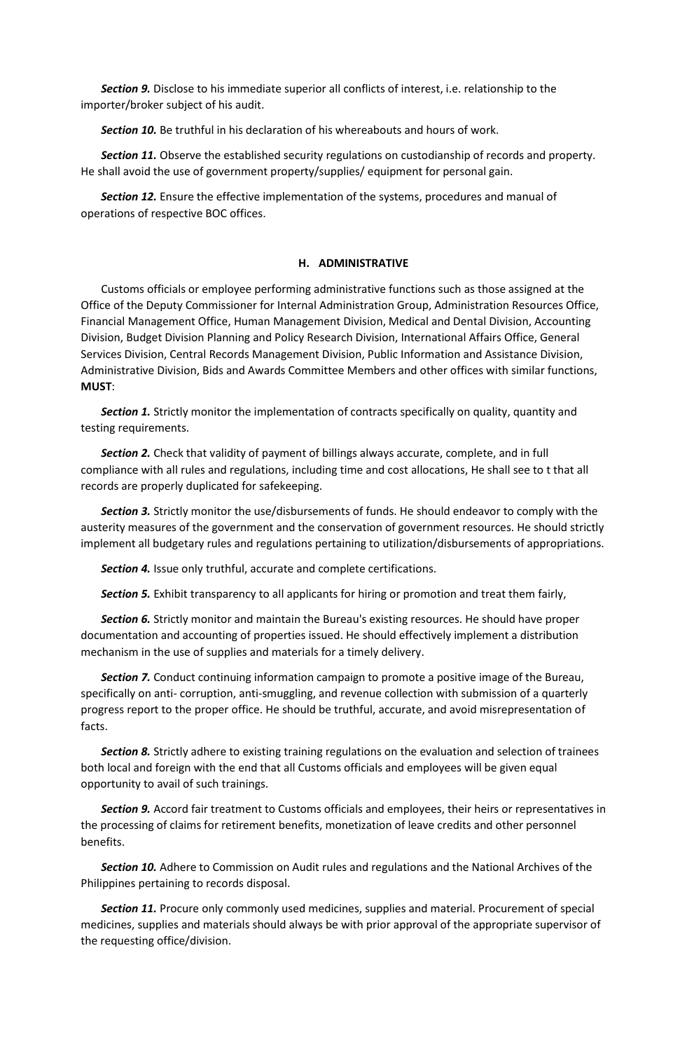*Section 9.* Disclose to his immediate superior all conflicts of interest, i.e. relationship to the importer/broker subject of his audit.

*Section 10.* Be truthful in his declaration of his whereabouts and hours of work.

**Section 11.** Observe the established security regulations on custodianship of records and property. He shall avoid the use of government property/supplies/ equipment for personal gain.

*Section 12.* Ensure the effective implementation of the systems, procedures and manual of operations of respective BOC offices.

### **H. ADMINISTRATIVE**

Customs officials or employee performing administrative functions such as those assigned at the Office of the Deputy Commissioner for Internal Administration Group, Administration Resources Office, Financial Management Office, Human Management Division, Medical and Dental Division, Accounting Division, Budget Division Planning and Policy Research Division, International Affairs Office, General Services Division, Central Records Management Division, Public Information and Assistance Division, Administrative Division, Bids and Awards Committee Members and other offices with similar functions, **MUST**:

*Section 1.* Strictly monitor the implementation of contracts specifically on quality, quantity and testing requirements.

*Section 2.* Check that validity of payment of billings always accurate, complete, and in full compliance with all rules and regulations, including time and cost allocations, He shall see to t that all records are properly duplicated for safekeeping.

*Section 3.* Strictly monitor the use/disbursements of funds. He should endeavor to comply with the austerity measures of the government and the conservation of government resources. He should strictly implement all budgetary rules and regulations pertaining to utilization/disbursements of appropriations.

*Section 4.* Issue only truthful, accurate and complete certifications.

*Section 5.* Exhibit transparency to all applicants for hiring or promotion and treat them fairly,

*Section 6.* Strictly monitor and maintain the Bureau's existing resources. He should have proper documentation and accounting of properties issued. He should effectively implement a distribution mechanism in the use of supplies and materials for a timely delivery.

*Section 7.* Conduct continuing information campaign to promote a positive image of the Bureau, specifically on anti- corruption, anti-smuggling, and revenue collection with submission of a quarterly progress report to the proper office. He should be truthful, accurate, and avoid misrepresentation of facts.

*Section 8.* Strictly adhere to existing training regulations on the evaluation and selection of trainees both local and foreign with the end that all Customs officials and employees will be given equal opportunity to avail of such trainings.

*Section 9.* Accord fair treatment to Customs officials and employees, their heirs or representatives in the processing of claims for retirement benefits, monetization of leave credits and other personnel benefits.

*Section 10.* Adhere to Commission on Audit rules and regulations and the National Archives of the Philippines pertaining to records disposal.

*Section 11.* Procure only commonly used medicines, supplies and material. Procurement of special medicines, supplies and materials should always be with prior approval of the appropriate supervisor of the requesting office/division.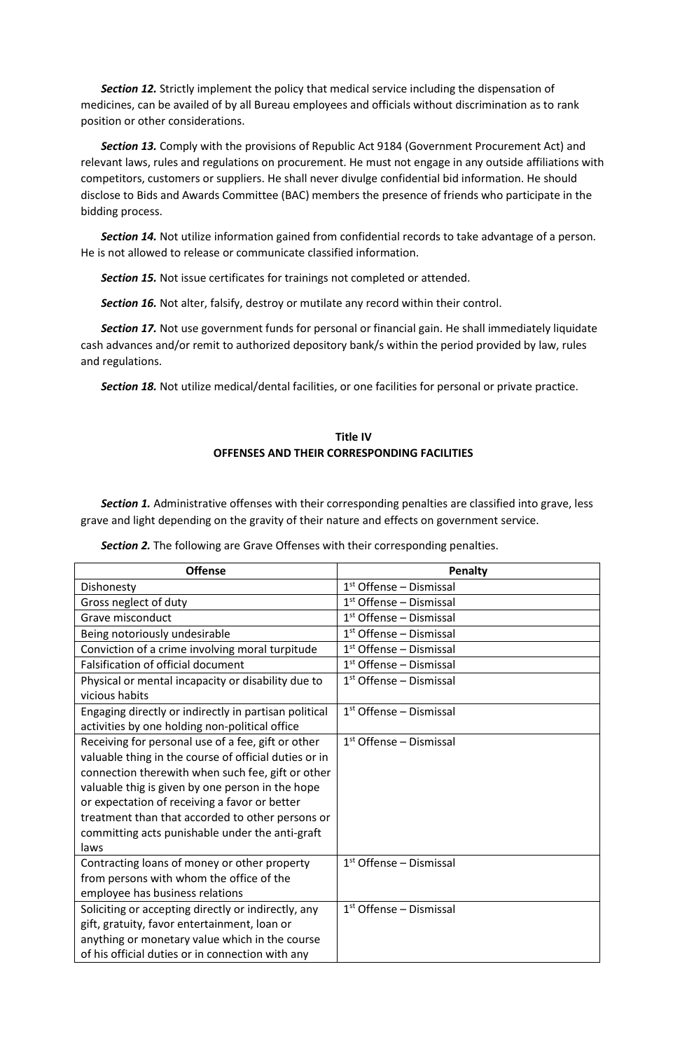*Section 12.* Strictly implement the policy that medical service including the dispensation of medicines, can be availed of by all Bureau employees and officials without discrimination as to rank position or other considerations.

*Section 13.* Comply with the provisions of Republic Act 9184 (Government Procurement Act) and relevant laws, rules and regulations on procurement. He must not engage in any outside affiliations with competitors, customers or suppliers. He shall never divulge confidential bid information. He should disclose to Bids and Awards Committee (BAC) members the presence of friends who participate in the bidding process.

*Section 14.* Not utilize information gained from confidential records to take advantage of a person. He is not allowed to release or communicate classified information.

*Section 15.* Not issue certificates for trainings not completed or attended.

*Section 16.* Not alter, falsify, destroy or mutilate any record within their control.

*Section 17.* Not use government funds for personal or financial gain. He shall immediately liquidate cash advances and/or remit to authorized depository bank/s within the period provided by law, rules and regulations.

*Section 18.* Not utilize medical/dental facilities, or one facilities for personal or private practice.

## **Title IV OFFENSES AND THEIR CORRESPONDING FACILITIES**

*Section 1.* Administrative offenses with their corresponding penalties are classified into grave, less grave and light depending on the gravity of their nature and effects on government service.

*Section 2.* The following are Grave Offenses with their corresponding penalties.

| <b>Offense</b>                                        | Penalty                   |
|-------------------------------------------------------|---------------------------|
| Dishonesty                                            | $1st$ Offense – Dismissal |
| Gross neglect of duty                                 | $1st$ Offense – Dismissal |
| Grave misconduct                                      | $1st$ Offense – Dismissal |
| Being notoriously undesirable                         | $1st$ Offense – Dismissal |
| Conviction of a crime involving moral turpitude       | $1st$ Offense – Dismissal |
| <b>Falsification of official document</b>             | $1st$ Offense – Dismissal |
| Physical or mental incapacity or disability due to    | $1st$ Offense – Dismissal |
| vicious habits                                        |                           |
| Engaging directly or indirectly in partisan political | $1st$ Offense – Dismissal |
| activities by one holding non-political office        |                           |
| Receiving for personal use of a fee, gift or other    | $1st$ Offense – Dismissal |
| valuable thing in the course of official duties or in |                           |
| connection therewith when such fee, gift or other     |                           |
| valuable thig is given by one person in the hope      |                           |
| or expectation of receiving a favor or better         |                           |
| treatment than that accorded to other persons or      |                           |
| committing acts punishable under the anti-graft       |                           |
| laws                                                  |                           |
| Contracting loans of money or other property          | $1st$ Offense – Dismissal |
| from persons with whom the office of the              |                           |
| employee has business relations                       |                           |
| Soliciting or accepting directly or indirectly, any   | $1st$ Offense – Dismissal |
| gift, gratuity, favor entertainment, loan or          |                           |
| anything or monetary value which in the course        |                           |
| of his official duties or in connection with any      |                           |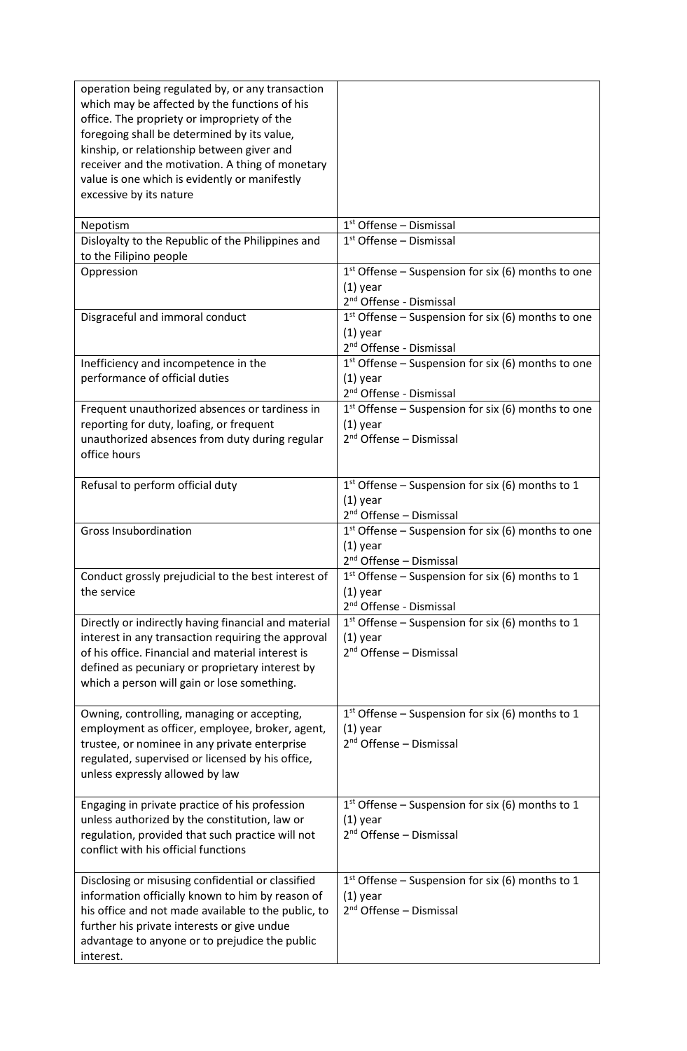| operation being regulated by, or any transaction<br>which may be affected by the functions of his<br>office. The propriety or impropriety of the<br>foregoing shall be determined by its value,<br>kinship, or relationship between giver and<br>receiver and the motivation. A thing of monetary<br>value is one which is evidently or manifestly<br>excessive by its nature |                                                                                                           |
|-------------------------------------------------------------------------------------------------------------------------------------------------------------------------------------------------------------------------------------------------------------------------------------------------------------------------------------------------------------------------------|-----------------------------------------------------------------------------------------------------------|
| Nepotism                                                                                                                                                                                                                                                                                                                                                                      | $1st$ Offense – Dismissal                                                                                 |
| Disloyalty to the Republic of the Philippines and<br>to the Filipino people                                                                                                                                                                                                                                                                                                   | $1st$ Offense – Dismissal                                                                                 |
| Oppression                                                                                                                                                                                                                                                                                                                                                                    | $1st$ Offense – Suspension for six (6) months to one<br>$(1)$ year<br>2 <sup>nd</sup> Offense - Dismissal |
| Disgraceful and immoral conduct                                                                                                                                                                                                                                                                                                                                               | $1st$ Offense – Suspension for six (6) months to one<br>$(1)$ year<br>2 <sup>nd</sup> Offense - Dismissal |
| Inefficiency and incompetence in the<br>performance of official duties                                                                                                                                                                                                                                                                                                        | $1st$ Offense – Suspension for six (6) months to one<br>$(1)$ year<br>2 <sup>nd</sup> Offense - Dismissal |
| Frequent unauthorized absences or tardiness in<br>reporting for duty, loafing, or frequent<br>unauthorized absences from duty during regular<br>office hours                                                                                                                                                                                                                  | $1st$ Offense – Suspension for six (6) months to one<br>$(1)$ year<br>$2nd$ Offense – Dismissal           |
| Refusal to perform official duty                                                                                                                                                                                                                                                                                                                                              | $1st$ Offense – Suspension for six (6) months to 1<br>$(1)$ year<br>2 <sup>nd</sup> Offense - Dismissal   |
| <b>Gross Insubordination</b>                                                                                                                                                                                                                                                                                                                                                  | $1st$ Offense – Suspension for six (6) months to one<br>$(1)$ year<br>2 <sup>nd</sup> Offense - Dismissal |
| Conduct grossly prejudicial to the best interest of<br>the service                                                                                                                                                                                                                                                                                                            | $1st$ Offense – Suspension for six (6) months to 1<br>$(1)$ year<br>2 <sup>nd</sup> Offense - Dismissal   |
| Directly or indirectly having financial and material<br>interest in any transaction requiring the approval<br>of his office. Financial and material interest is<br>defined as pecuniary or proprietary interest by<br>which a person will gain or lose something.                                                                                                             | $1st$ Offense – Suspension for six (6) months to 1<br>$(1)$ year<br>$2nd$ Offense – Dismissal             |
| Owning, controlling, managing or accepting,<br>employment as officer, employee, broker, agent,<br>trustee, or nominee in any private enterprise<br>regulated, supervised or licensed by his office,<br>unless expressly allowed by law                                                                                                                                        | $1st$ Offense – Suspension for six (6) months to 1<br>$(1)$ year<br>$2nd$ Offense – Dismissal             |
| Engaging in private practice of his profession<br>unless authorized by the constitution, law or<br>regulation, provided that such practice will not<br>conflict with his official functions                                                                                                                                                                                   | 1st Offense - Suspension for six (6) months to 1<br>$(1)$ year<br>$2nd$ Offense – Dismissal               |
| Disclosing or misusing confidential or classified<br>information officially known to him by reason of<br>his office and not made available to the public, to<br>further his private interests or give undue<br>advantage to anyone or to prejudice the public<br>interest.                                                                                                    | $1st$ Offense – Suspension for six (6) months to 1<br>$(1)$ year<br>2 <sup>nd</sup> Offense - Dismissal   |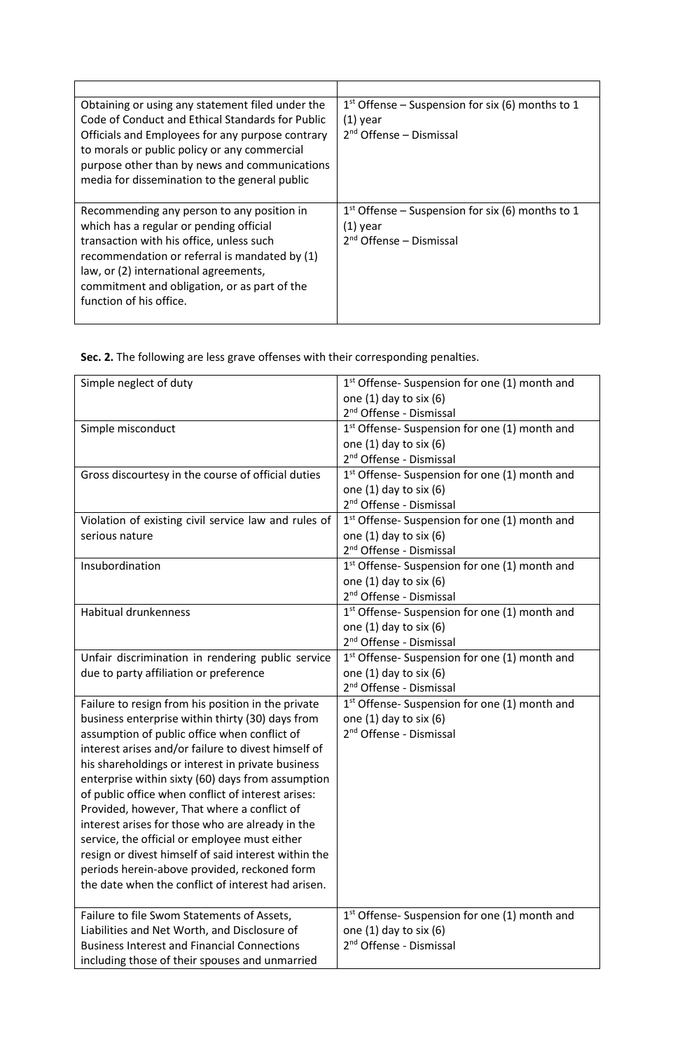| Obtaining or using any statement filed under the<br>Code of Conduct and Ethical Standards for Public<br>Officials and Employees for any purpose contrary<br>to morals or public policy or any commercial<br>purpose other than by news and communications<br>media for dissemination to the general public | $1st$ Offense – Suspension for six (6) months to 1<br>$(1)$ year<br>$2nd$ Offense – Dismissal           |
|------------------------------------------------------------------------------------------------------------------------------------------------------------------------------------------------------------------------------------------------------------------------------------------------------------|---------------------------------------------------------------------------------------------------------|
| Recommending any person to any position in<br>which has a regular or pending official<br>transaction with his office, unless such<br>recommendation or referral is mandated by (1)<br>law, or (2) international agreements,<br>commitment and obligation, or as part of the<br>function of his office.     | $1st$ Offense – Suspension for six (6) months to 1<br>$(1)$ year<br>2 <sup>nd</sup> Offense – Dismissal |

**Sec. 2.** The following are less grave offenses with their corresponding penalties.

| Simple neglect of duty                               | 1 <sup>st</sup> Offense- Suspension for one (1) month and |
|------------------------------------------------------|-----------------------------------------------------------|
|                                                      | one $(1)$ day to six $(6)$                                |
|                                                      | 2 <sup>nd</sup> Offense - Dismissal                       |
| Simple misconduct                                    | 1st Offense- Suspension for one (1) month and             |
|                                                      | one $(1)$ day to six $(6)$                                |
|                                                      | 2 <sup>nd</sup> Offense - Dismissal                       |
| Gross discourtesy in the course of official duties   | 1 <sup>st</sup> Offense- Suspension for one (1) month and |
|                                                      | one $(1)$ day to six $(6)$                                |
|                                                      | 2 <sup>nd</sup> Offense - Dismissal                       |
| Violation of existing civil service law and rules of | 1 <sup>st</sup> Offense-Suspension for one (1) month and  |
| serious nature                                       | one $(1)$ day to six $(6)$                                |
|                                                      | 2 <sup>nd</sup> Offense - Dismissal                       |
| Insubordination                                      | 1 <sup>st</sup> Offense- Suspension for one (1) month and |
|                                                      | one $(1)$ day to six $(6)$                                |
|                                                      | 2 <sup>nd</sup> Offense - Dismissal                       |
| <b>Habitual drunkenness</b>                          | 1st Offense- Suspension for one (1) month and             |
|                                                      | one $(1)$ day to six $(6)$                                |
|                                                      | 2 <sup>nd</sup> Offense - Dismissal                       |
| Unfair discrimination in rendering public service    | 1 <sup>st</sup> Offense-Suspension for one (1) month and  |
| due to party affiliation or preference               | one (1) day to six (6)                                    |
|                                                      | 2 <sup>nd</sup> Offense - Dismissal                       |
| Failure to resign from his position in the private   | 1 <sup>st</sup> Offense-Suspension for one (1) month and  |
| business enterprise within thirty (30) days from     | one $(1)$ day to six $(6)$                                |
| assumption of public office when conflict of         | 2 <sup>nd</sup> Offense - Dismissal                       |
| interest arises and/or failure to divest himself of  |                                                           |
| his shareholdings or interest in private business    |                                                           |
| enterprise within sixty (60) days from assumption    |                                                           |
| of public office when conflict of interest arises:   |                                                           |
| Provided, however, That where a conflict of          |                                                           |
| interest arises for those who are already in the     |                                                           |
| service, the official or employee must either        |                                                           |
| resign or divest himself of said interest within the |                                                           |
| periods herein-above provided, reckoned form         |                                                           |
| the date when the conflict of interest had arisen.   |                                                           |
|                                                      |                                                           |
| Failure to file Swom Statements of Assets,           | 1 <sup>st</sup> Offense-Suspension for one (1) month and  |
| Liabilities and Net Worth, and Disclosure of         | one $(1)$ day to six $(6)$                                |
| <b>Business Interest and Financial Connections</b>   | 2 <sup>nd</sup> Offense - Dismissal                       |
| including those of their spouses and unmarried       |                                                           |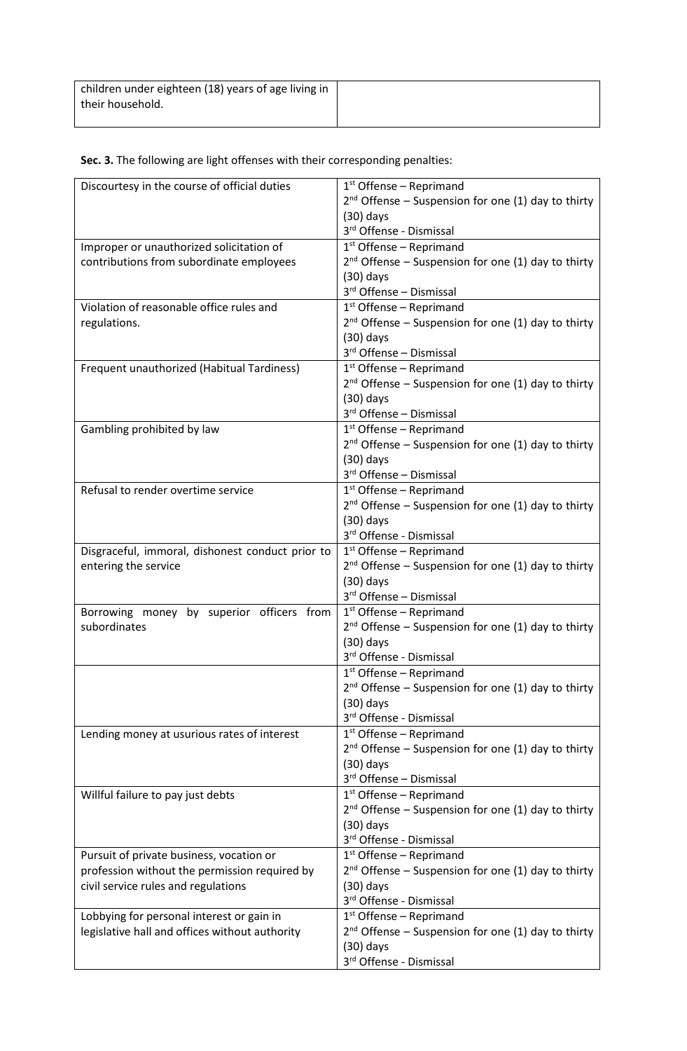| children under eighteen (18) years of age living in |  |
|-----------------------------------------------------|--|
| their household.                                    |  |
|                                                     |  |

# **Sec. 3.** The following are light offenses with their corresponding penalties:

| Discourtesy in the course of official duties     | $1st$ Offense – Reprimand                                                            |
|--------------------------------------------------|--------------------------------------------------------------------------------------|
|                                                  | $2^{nd}$ Offense – Suspension for one (1) day to thirty                              |
|                                                  | $(30)$ days                                                                          |
|                                                  | 3rd Offense - Dismissal                                                              |
| Improper or unauthorized solicitation of         | $1st$ Offense – Reprimand                                                            |
| contributions from subordinate employees         | $2^{nd}$ Offense – Suspension for one (1) day to thirty                              |
|                                                  | $(30)$ days                                                                          |
|                                                  | 3rd Offense - Dismissal                                                              |
| Violation of reasonable office rules and         | $1st$ Offense – Reprimand                                                            |
| regulations.                                     | 2 <sup>nd</sup> Offense - Suspension for one (1) day to thirty                       |
|                                                  | $(30)$ days                                                                          |
|                                                  | 3rd Offense - Dismissal                                                              |
| Frequent unauthorized (Habitual Tardiness)       | $1st$ Offense – Reprimand                                                            |
|                                                  | $2^{nd}$ Offense – Suspension for one (1) day to thirty                              |
|                                                  | $(30)$ days                                                                          |
|                                                  | 3rd Offense - Dismissal                                                              |
| Gambling prohibited by law                       | $1st$ Offense – Reprimand                                                            |
|                                                  | $2^{nd}$ Offense – Suspension for one (1) day to thirty                              |
|                                                  | $(30)$ days                                                                          |
|                                                  | 3rd Offense - Dismissal                                                              |
| Refusal to render overtime service               | $1st$ Offense – Reprimand                                                            |
|                                                  | $2^{nd}$ Offense – Suspension for one (1) day to thirty                              |
|                                                  | $(30)$ days                                                                          |
|                                                  | 3rd Offense - Dismissal                                                              |
| Disgraceful, immoral, dishonest conduct prior to | $1st$ Offense – Reprimand                                                            |
| entering the service                             | $2^{nd}$ Offense – Suspension for one (1) day to thirty                              |
|                                                  | $(30)$ days                                                                          |
|                                                  | 3rd Offense - Dismissal                                                              |
| Borrowing money by superior officers from        | $1st$ Offense – Reprimand                                                            |
| subordinates                                     | $2^{nd}$ Offense – Suspension for one (1) day to thirty                              |
|                                                  | $(30)$ days                                                                          |
|                                                  | 3rd Offense - Dismissal                                                              |
|                                                  | 1 <sup>st</sup> Offense - Reprimand                                                  |
|                                                  | $2^{nd}$ Offense – Suspension for one (1) day to thirty                              |
|                                                  | $(30)$ days<br>3rd Offense - Dismissal                                               |
|                                                  |                                                                                      |
| Lending money at usurious rates of interest      | $1st$ Offense – Reprimand<br>$2^{nd}$ Offense – Suspension for one (1) day to thirty |
|                                                  | $(30)$ days                                                                          |
|                                                  | 3rd Offense - Dismissal                                                              |
| Willful failure to pay just debts                | $1st$ Offense – Reprimand                                                            |
|                                                  | 2 <sup>nd</sup> Offense - Suspension for one (1) day to thirty                       |
|                                                  | $(30)$ days                                                                          |
|                                                  | 3rd Offense - Dismissal                                                              |
| Pursuit of private business, vocation or         | $1st$ Offense – Reprimand                                                            |
| profession without the permission required by    | $2^{nd}$ Offense – Suspension for one (1) day to thirty                              |
| civil service rules and regulations              | $(30)$ days                                                                          |
|                                                  | 3rd Offense - Dismissal                                                              |
| Lobbying for personal interest or gain in        | $1st$ Offense – Reprimand                                                            |
| legislative hall and offices without authority   | $2^{nd}$ Offense – Suspension for one (1) day to thirty                              |
|                                                  | $(30)$ days                                                                          |
|                                                  | 3rd Offense - Dismissal                                                              |
|                                                  |                                                                                      |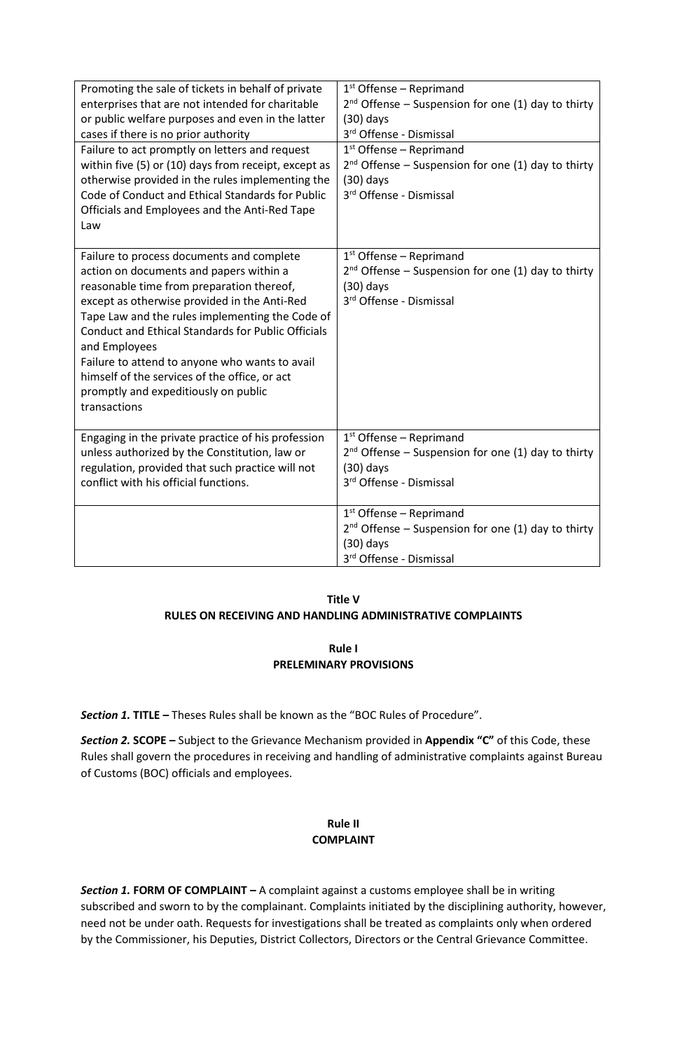| Promoting the sale of tickets in behalf of private<br>enterprises that are not intended for charitable<br>or public welfare purposes and even in the latter<br>cases if there is no prior authority<br>Failure to act promptly on letters and request                                                                                                                                                                                                                         | $1st$ Offense – Reprimand<br>$2^{nd}$ Offense – Suspension for one (1) day to thirty<br>$(30)$ days<br>3rd Offense - Dismissal<br>$1st$ Offense – Reprimand |
|-------------------------------------------------------------------------------------------------------------------------------------------------------------------------------------------------------------------------------------------------------------------------------------------------------------------------------------------------------------------------------------------------------------------------------------------------------------------------------|-------------------------------------------------------------------------------------------------------------------------------------------------------------|
| within five (5) or (10) days from receipt, except as<br>otherwise provided in the rules implementing the<br>Code of Conduct and Ethical Standards for Public<br>Officials and Employees and the Anti-Red Tape<br>Law                                                                                                                                                                                                                                                          | $2^{nd}$ Offense – Suspension for one (1) day to thirty<br>$(30)$ days<br>3rd Offense - Dismissal                                                           |
| Failure to process documents and complete<br>action on documents and papers within a<br>reasonable time from preparation thereof,<br>except as otherwise provided in the Anti-Red<br>Tape Law and the rules implementing the Code of<br><b>Conduct and Ethical Standards for Public Officials</b><br>and Employees<br>Failure to attend to anyone who wants to avail<br>himself of the services of the office, or act<br>promptly and expeditiously on public<br>transactions | $1st$ Offense – Reprimand<br>2 <sup>nd</sup> Offense - Suspension for one (1) day to thirty<br>$(30)$ days<br>3rd Offense - Dismissal                       |
| Engaging in the private practice of his profession<br>unless authorized by the Constitution, law or<br>regulation, provided that such practice will not<br>conflict with his official functions.                                                                                                                                                                                                                                                                              | $1st$ Offense – Reprimand<br>$2^{nd}$ Offense – Suspension for one (1) day to thirty<br>$(30)$ days<br>3rd Offense - Dismissal                              |
|                                                                                                                                                                                                                                                                                                                                                                                                                                                                               | $1st$ Offense – Reprimand<br>$2nd$ Offense – Suspension for one (1) day to thirty<br>$(30)$ days<br>3rd Offense - Dismissal                                 |

## **Title V RULES ON RECEIVING AND HANDLING ADMINISTRATIVE COMPLAINTS**

## **Rule I PRELEMINARY PROVISIONS**

*Section 1.* **TITLE –** Theses Rules shall be known as the "BOC Rules of Procedure".

*Section 2.* **SCOPE –** Subject to the Grievance Mechanism provided in **Appendix "C"** of this Code, these Rules shall govern the procedures in receiving and handling of administrative complaints against Bureau of Customs (BOC) officials and employees.

## **Rule II COMPLAINT**

*Section 1.* **FORM OF COMPLAINT –** A complaint against a customs employee shall be in writing subscribed and sworn to by the complainant. Complaints initiated by the disciplining authority, however, need not be under oath. Requests for investigations shall be treated as complaints only when ordered by the Commissioner, his Deputies, District Collectors, Directors or the Central Grievance Committee.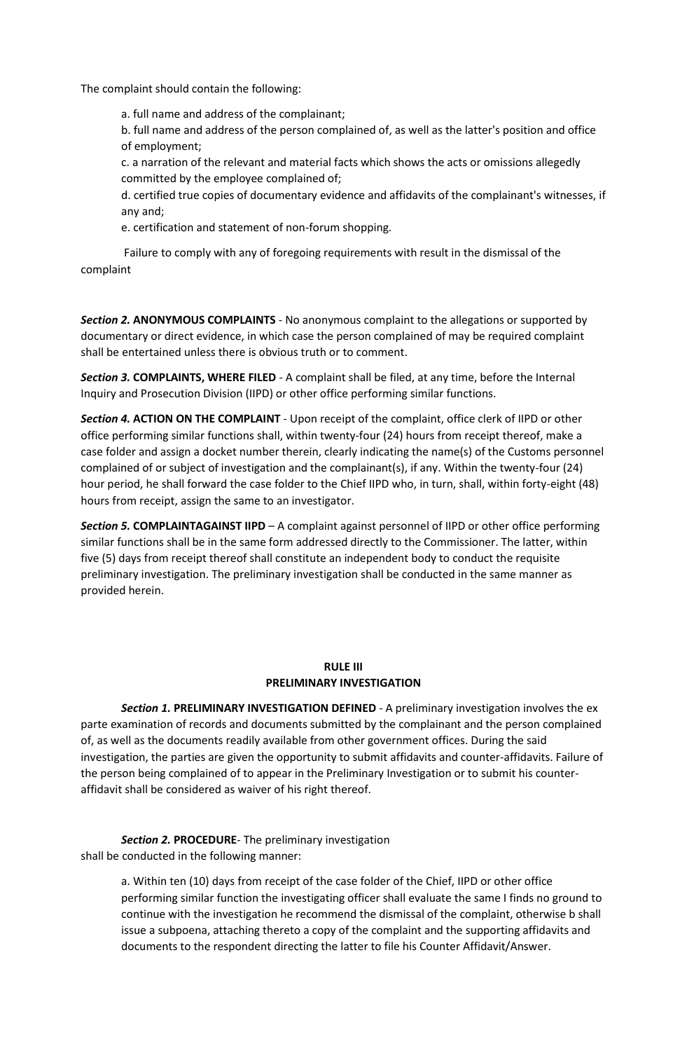The complaint should contain the following:

a. full name and address of the complainant;

b. full name and address of the person complained of, as well as the latter's position and office of employment;

c. a narration of the relevant and material facts which shows the acts or omissions allegedly committed by the employee complained of;

d. certified true copies of documentary evidence and affidavits of the complainant's witnesses, if any and;

e. certification and statement of non-forum shopping.

Failure to comply with any of foregoing requirements with result in the dismissal of the complaint

*Section 2.* **ANONYMOUS COMPLAINTS** - No anonymous complaint to the allegations or supported by documentary or direct evidence, in which case the person complained of may be required complaint shall be entertained unless there is obvious truth or to comment.

*Section 3.* **COMPLAINTS, WHERE FILED** - A complaint shall be filed, at any time, before the Internal Inquiry and Prosecution Division (IIPD) or other office performing similar functions.

*Section 4.* **ACTION ON THE COMPLAINT** - Upon receipt of the complaint, office clerk of IIPD or other office performing similar functions shall, within twenty-four (24) hours from receipt thereof, make a case folder and assign a docket number therein, clearly indicating the name(s) of the Customs personnel complained of or subject of investigation and the complainant(s), if any. Within the twenty-four (24) hour period, he shall forward the case folder to the Chief IIPD who, in turn, shall, within forty-eight (48) hours from receipt, assign the same to an investigator.

*Section 5.* **COMPLAINTAGAINST IIPD** – A complaint against personnel of IIPD or other office performing similar functions shall be in the same form addressed directly to the Commissioner. The latter, within five (5) days from receipt thereof shall constitute an independent body to conduct the requisite preliminary investigation. The preliminary investigation shall be conducted in the same manner as provided herein.

## **RULE III PRELIMINARY INVESTIGATION**

*Section 1.* **PRELIMINARY INVESTIGATION DEFINED** - A preliminary investigation involves the ex parte examination of records and documents submitted by the complainant and the person complained of, as well as the documents readily available from other government offices. During the said investigation, the parties are given the opportunity to submit affidavits and counter-affidavits. Failure of the person being complained of to appear in the Preliminary Investigation or to submit his counteraffidavit shall be considered as waiver of his right thereof.

*Section 2.* **PROCEDURE**- The preliminary investigation shall be conducted in the following manner:

> a. Within ten (10) days from receipt of the case folder of the Chief, IIPD or other office performing similar function the investigating officer shall evaluate the same I finds no ground to continue with the investigation he recommend the dismissal of the complaint, otherwise b shall issue a subpoena, attaching thereto a copy of the complaint and the supporting affidavits and documents to the respondent directing the latter to file his Counter Affidavit/Answer.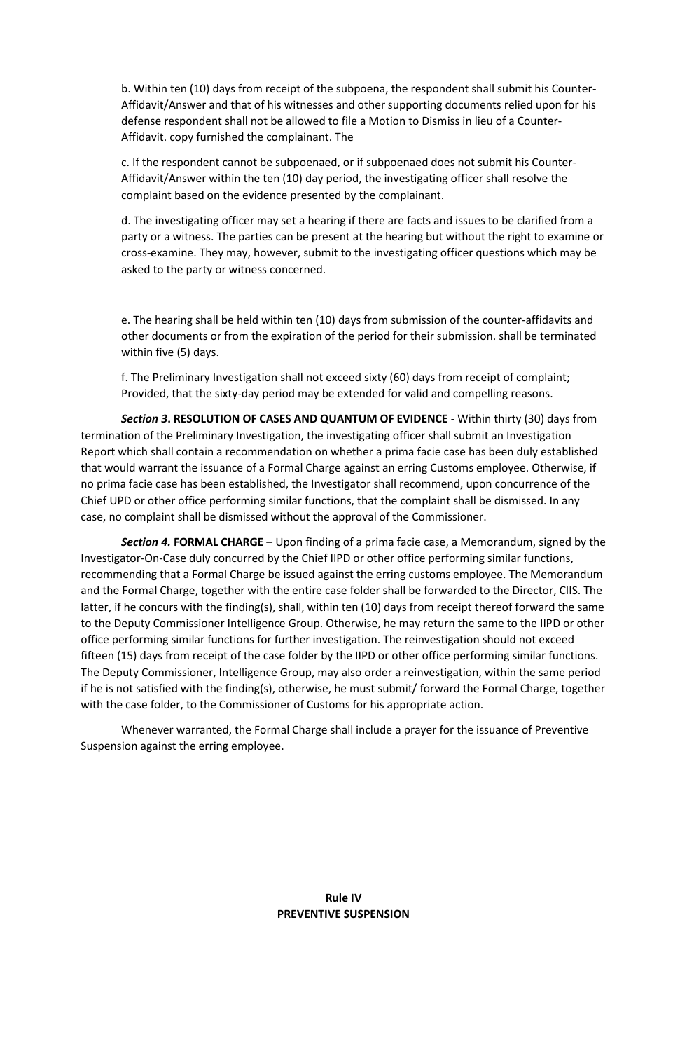b. Within ten (10) days from receipt of the subpoena, the respondent shall submit his Counter-Affidavit/Answer and that of his witnesses and other supporting documents relied upon for his defense respondent shall not be allowed to file a Motion to Dismiss in lieu of a Counter-Affidavit. copy furnished the complainant. The

c. If the respondent cannot be subpoenaed, or if subpoenaed does not submit his Counter-Affidavit/Answer within the ten (10) day period, the investigating officer shall resolve the complaint based on the evidence presented by the complainant.

d. The investigating officer may set a hearing if there are facts and issues to be clarified from a party or a witness. The parties can be present at the hearing but without the right to examine or cross-examine. They may, however, submit to the investigating officer questions which may be asked to the party or witness concerned.

e. The hearing shall be held within ten (10) days from submission of the counter-affidavits and other documents or from the expiration of the period for their submission. shall be terminated within five (5) days.

f. The Preliminary Investigation shall not exceed sixty (60) days from receipt of complaint; Provided, that the sixty-day period may be extended for valid and compelling reasons.

*Section 3***. RESOLUTION OF CASES AND QUANTUM OF EVIDENCE** - Within thirty (30) days from termination of the Preliminary Investigation, the investigating officer shall submit an Investigation Report which shall contain a recommendation on whether a prima facie case has been duly established that would warrant the issuance of a Formal Charge against an erring Customs employee. Otherwise, if no prima facie case has been established, the Investigator shall recommend, upon concurrence of the Chief UPD or other office performing similar functions, that the complaint shall be dismissed. In any case, no complaint shall be dismissed without the approval of the Commissioner.

*Section 4.* **FORMAL CHARGE** – Upon finding of a prima facie case, a Memorandum, signed by the Investigator-On-Case duly concurred by the Chief IIPD or other office performing similar functions, recommending that a Formal Charge be issued against the erring customs employee. The Memorandum and the Formal Charge, together with the entire case folder shall be forwarded to the Director, CIIS. The latter, if he concurs with the finding(s), shall, within ten (10) days from receipt thereof forward the same to the Deputy Commissioner Intelligence Group. Otherwise, he may return the same to the IIPD or other office performing similar functions for further investigation. The reinvestigation should not exceed fifteen (15) days from receipt of the case folder by the IIPD or other office performing similar functions. The Deputy Commissioner, Intelligence Group, may also order a reinvestigation, within the same period if he is not satisfied with the finding(s), otherwise, he must submit/ forward the Formal Charge, together with the case folder, to the Commissioner of Customs for his appropriate action.

Whenever warranted, the Formal Charge shall include a prayer for the issuance of Preventive Suspension against the erring employee.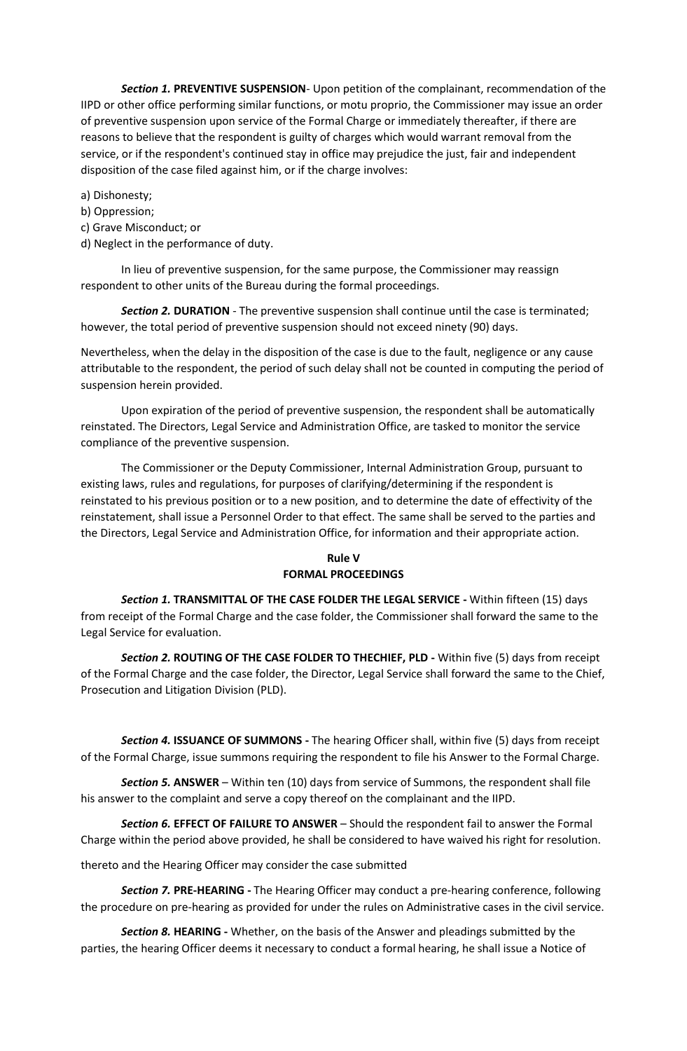*Section 1.* **PREVENTIVE SUSPENSION**- Upon petition of the complainant, recommendation of the IIPD or other office performing similar functions, or motu proprio, the Commissioner may issue an order of preventive suspension upon service of the Formal Charge or immediately thereafter, if there are reasons to believe that the respondent is guilty of charges which would warrant removal from the service, or if the respondent's continued stay in office may prejudice the just, fair and independent disposition of the case filed against him, or if the charge involves:

### a) Dishonesty;

- b) Oppression;
- c) Grave Misconduct; or
- d) Neglect in the performance of duty.

In lieu of preventive suspension, for the same purpose, the Commissioner may reassign respondent to other units of the Bureau during the formal proceedings.

*Section 2.* **DURATION** - The preventive suspension shall continue until the case is terminated; however, the total period of preventive suspension should not exceed ninety (90) days.

Nevertheless, when the delay in the disposition of the case is due to the fault, negligence or any cause attributable to the respondent, the period of such delay shall not be counted in computing the period of suspension herein provided.

Upon expiration of the period of preventive suspension, the respondent shall be automatically reinstated. The Directors, Legal Service and Administration Office, are tasked to monitor the service compliance of the preventive suspension.

The Commissioner or the Deputy Commissioner, Internal Administration Group, pursuant to existing laws, rules and regulations, for purposes of clarifying/determining if the respondent is reinstated to his previous position or to a new position, and to determine the date of effectivity of the reinstatement, shall issue a Personnel Order to that effect. The same shall be served to the parties and the Directors, Legal Service and Administration Office, for information and their appropriate action.

## **Rule V FORMAL PROCEEDINGS**

*Section 1.* **TRANSMITTAL OF THE CASE FOLDER THE LEGAL SERVICE -** Within fifteen (15) days from receipt of the Formal Charge and the case folder, the Commissioner shall forward the same to the Legal Service for evaluation.

*Section 2.* **ROUTING OF THE CASE FOLDER TO THECHIEF, PLD -** Within five (5) days from receipt of the Formal Charge and the case folder, the Director, Legal Service shall forward the same to the Chief, Prosecution and Litigation Division (PLD).

*Section 4.* **ISSUANCE OF SUMMONS -** The hearing Officer shall, within five (5) days from receipt of the Formal Charge, issue summons requiring the respondent to file his Answer to the Formal Charge.

*Section 5.* **ANSWER** – Within ten (10) days from service of Summons, the respondent shall file his answer to the complaint and serve a copy thereof on the complainant and the IIPD.

*Section 6.* **EFFECT OF FAILURE TO ANSWER** – Should the respondent fail to answer the Formal Charge within the period above provided, he shall be considered to have waived his right for resolution.

thereto and the Hearing Officer may consider the case submitted

*Section 7.* **PRE-HEARING -** The Hearing Officer may conduct a pre-hearing conference, following the procedure on pre-hearing as provided for under the rules on Administrative cases in the civil service.

*Section 8.* **HEARING -** Whether, on the basis of the Answer and pleadings submitted by the parties, the hearing Officer deems it necessary to conduct a formal hearing, he shall issue a Notice of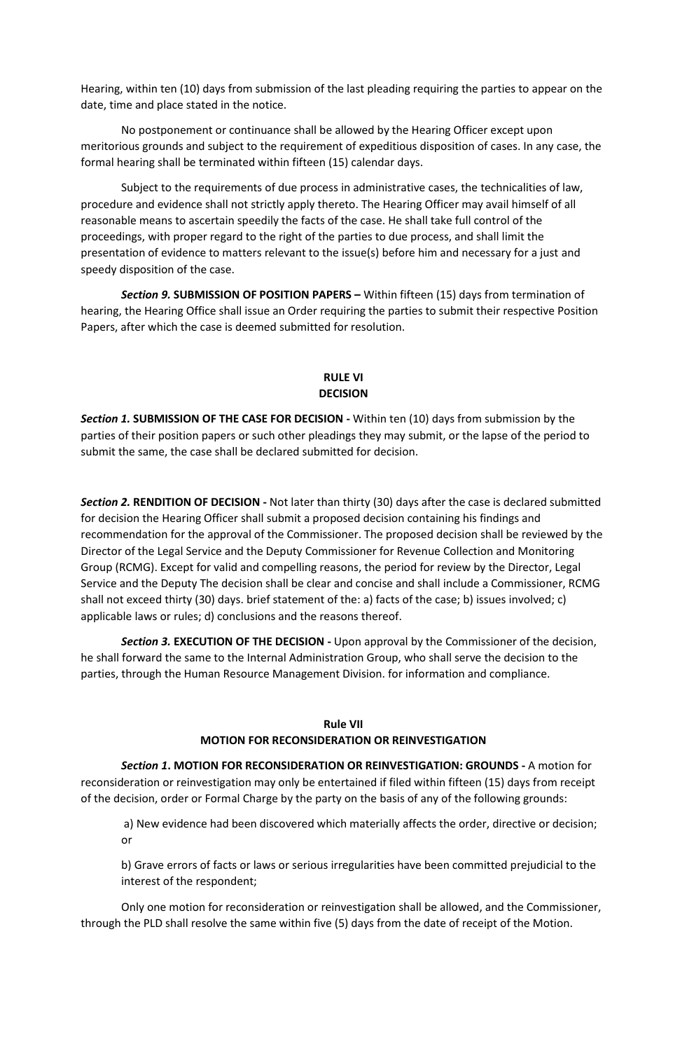Hearing, within ten (10) days from submission of the last pleading requiring the parties to appear on the date, time and place stated in the notice.

No postponement or continuance shall be allowed by the Hearing Officer except upon meritorious grounds and subject to the requirement of expeditious disposition of cases. In any case, the formal hearing shall be terminated within fifteen (15) calendar days.

Subject to the requirements of due process in administrative cases, the technicalities of law, procedure and evidence shall not strictly apply thereto. The Hearing Officer may avail himself of all reasonable means to ascertain speedily the facts of the case. He shall take full control of the proceedings, with proper regard to the right of the parties to due process, and shall limit the presentation of evidence to matters relevant to the issue(s) before him and necessary for a just and speedy disposition of the case.

**Section 9. SUBMISSION OF POSITION PAPERS – Within fifteen (15) days from termination of** hearing, the Hearing Office shall issue an Order requiring the parties to submit their respective Position Papers, after which the case is deemed submitted for resolution.

## **RULE VI DECISION**

*Section 1.* **SUBMISSION OF THE CASE FOR DECISION -** Within ten (10) days from submission by the parties of their position papers or such other pleadings they may submit, or the lapse of the period to submit the same, the case shall be declared submitted for decision.

*Section 2.* **RENDITION OF DECISION -** Not later than thirty (30) days after the case is declared submitted for decision the Hearing Officer shall submit a proposed decision containing his findings and recommendation for the approval of the Commissioner. The proposed decision shall be reviewed by the Director of the Legal Service and the Deputy Commissioner for Revenue Collection and Monitoring Group (RCMG). Except for valid and compelling reasons, the period for review by the Director, Legal Service and the Deputy The decision shall be clear and concise and shall include a Commissioner, RCMG shall not exceed thirty (30) days. brief statement of the: a) facts of the case; b) issues involved; c) applicable laws or rules; d) conclusions and the reasons thereof.

*Section 3.* **EXECUTION OF THE DECISION -** Upon approval by the Commissioner of the decision, he shall forward the same to the Internal Administration Group, who shall serve the decision to the parties, through the Human Resource Management Division. for information and compliance.

## **Rule VII**

## **MOTION FOR RECONSIDERATION OR REINVESTIGATION**

*Section 1***. MOTION FOR RECONSIDERATION OR REINVESTIGATION: GROUNDS -** A motion for reconsideration or reinvestigation may only be entertained if filed within fifteen (15) days from receipt of the decision, order or Formal Charge by the party on the basis of any of the following grounds:

a) New evidence had been discovered which materially affects the order, directive or decision; or

b) Grave errors of facts or laws or serious irregularities have been committed prejudicial to the interest of the respondent;

Only one motion for reconsideration or reinvestigation shall be allowed, and the Commissioner, through the PLD shall resolve the same within five (5) days from the date of receipt of the Motion.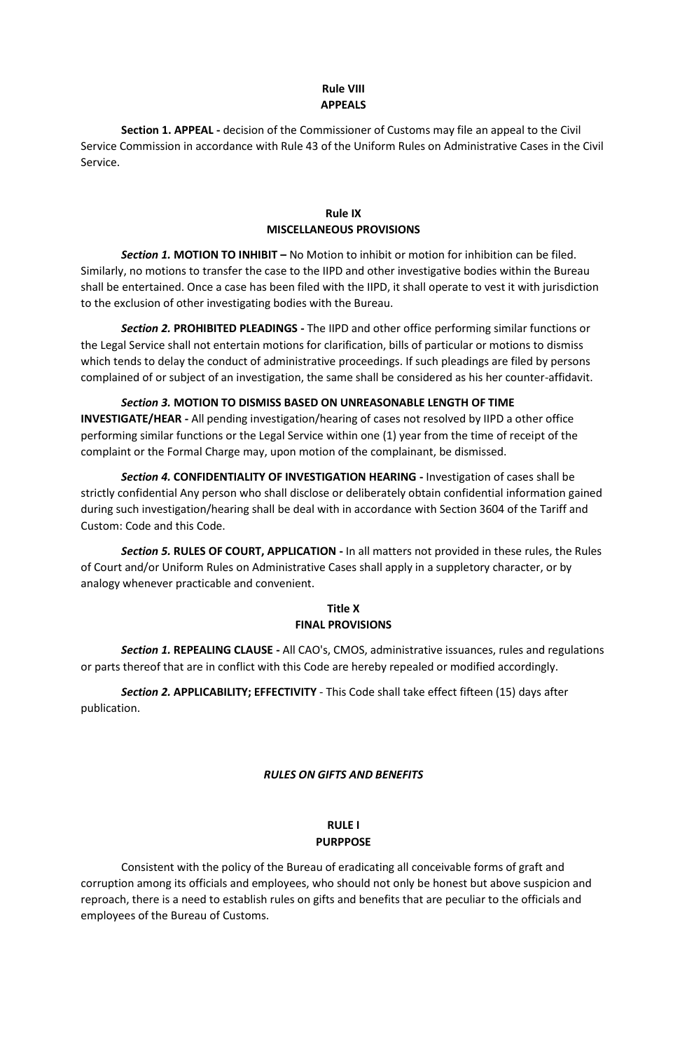## **Rule VIII APPEALS**

**Section 1. APPEAL -** decision of the Commissioner of Customs may file an appeal to the Civil Service Commission in accordance with Rule 43 of the Uniform Rules on Administrative Cases in the Civil Service.

## **Rule IX MISCELLANEOUS PROVISIONS**

*Section 1.* **MOTION TO INHIBIT –** No Motion to inhibit or motion for inhibition can be filed. Similarly, no motions to transfer the case to the IIPD and other investigative bodies within the Bureau shall be entertained. Once a case has been filed with the IIPD, it shall operate to vest it with jurisdiction to the exclusion of other investigating bodies with the Bureau.

*Section 2.* **PROHIBITED PLEADINGS -** The IIPD and other office performing similar functions or the Legal Service shall not entertain motions for clarification, bills of particular or motions to dismiss which tends to delay the conduct of administrative proceedings. If such pleadings are filed by persons complained of or subject of an investigation, the same shall be considered as his her counter-affidavit.

*Section 3.* **MOTION TO DISMISS BASED ON UNREASONABLE LENGTH OF TIME INVESTIGATE/HEAR -** All pending investigation/hearing of cases not resolved by IIPD a other office performing similar functions or the Legal Service within one (1) year from the time of receipt of the complaint or the Formal Charge may, upon motion of the complainant, be dismissed.

*Section 4.* **CONFIDENTIALITY OF INVESTIGATION HEARING -** Investigation of cases shall be strictly confidential Any person who shall disclose or deliberately obtain confidential information gained during such investigation/hearing shall be deal with in accordance with Section 3604 of the Tariff and Custom: Code and this Code.

*Section 5.* **RULES OF COURT, APPLICATION -** In all matters not provided in these rules, the Rules of Court and/or Uniform Rules on Administrative Cases shall apply in a suppletory character, or by analogy whenever practicable and convenient.

## **Title X FINAL PROVISIONS**

*Section 1.* **REPEALING CLAUSE -** All CAO's, CMOS, administrative issuances, rules and regulations or parts thereof that are in conflict with this Code are hereby repealed or modified accordingly.

*Section 2.* **APPLICABILITY; EFFECTIVITY** - This Code shall take effect fifteen (15) days after publication.

## *RULES ON GIFTS AND BENEFITS*

## **RULE I PURPPOSE**

Consistent with the policy of the Bureau of eradicating all conceivable forms of graft and corruption among its officials and employees, who should not only be honest but above suspicion and reproach, there is a need to establish rules on gifts and benefits that are peculiar to the officials and employees of the Bureau of Customs.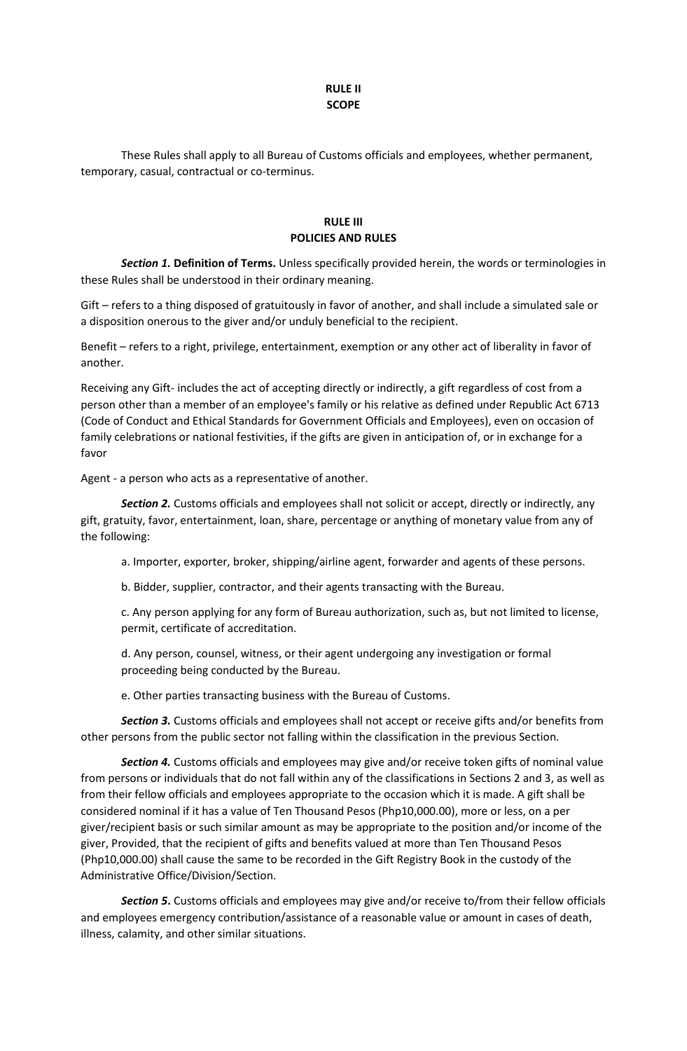### **RULE II SCOPE**

These Rules shall apply to all Bureau of Customs officials and employees, whether permanent, temporary, casual, contractual or co-terminus.

## **RULE III POLICIES AND RULES**

*Section 1.* **Definition of Terms.** Unless specifically provided herein, the words or terminologies in these Rules shall be understood in their ordinary meaning.

Gift – refers to a thing disposed of gratuitously in favor of another, and shall include a simulated sale or a disposition onerous to the giver and/or unduly beneficial to the recipient.

Benefit – refers to a right, privilege, entertainment, exemption or any other act of liberality in favor of another.

Receiving any Gift- includes the act of accepting directly or indirectly, a gift regardless of cost from a person other than a member of an employee's family or his relative as defined under Republic Act 6713 (Code of Conduct and Ethical Standards for Government Officials and Employees), even on occasion of family celebrations or national festivities, if the gifts are given in anticipation of, or in exchange for a favor

Agent - a person who acts as a representative of another.

*Section 2.* Customs officials and employees shall not solicit or accept, directly or indirectly, any gift, gratuity, favor, entertainment, loan, share, percentage or anything of monetary value from any of the following:

a. Importer, exporter, broker, shipping/airline agent, forwarder and agents of these persons.

b. Bidder, supplier, contractor, and their agents transacting with the Bureau.

c. Any person applying for any form of Bureau authorization, such as, but not limited to license, permit, certificate of accreditation.

d. Any person, counsel, witness, or their agent undergoing any investigation or formal proceeding being conducted by the Bureau.

e. Other parties transacting business with the Bureau of Customs.

*Section 3.* Customs officials and employees shall not accept or receive gifts and/or benefits from other persons from the public sector not falling within the classification in the previous Section.

*Section 4.* Customs officials and employees may give and/or receive token gifts of nominal value from persons or individuals that do not fall within any of the classifications in Sections 2 and 3, as well as from their fellow officials and employees appropriate to the occasion which it is made. A gift shall be considered nominal if it has a value of Ten Thousand Pesos (Php10,000.00), more or less, on a per giver/recipient basis or such similar amount as may be appropriate to the position and/or income of the giver, Provided, that the recipient of gifts and benefits valued at more than Ten Thousand Pesos (Php10,000.00) shall cause the same to be recorded in the Gift Registry Book in the custody of the Administrative Office/Division/Section.

*Section 5***.** Customs officials and employees may give and/or receive to/from their fellow officials and employees emergency contribution/assistance of a reasonable value or amount in cases of death, illness, calamity, and other similar situations.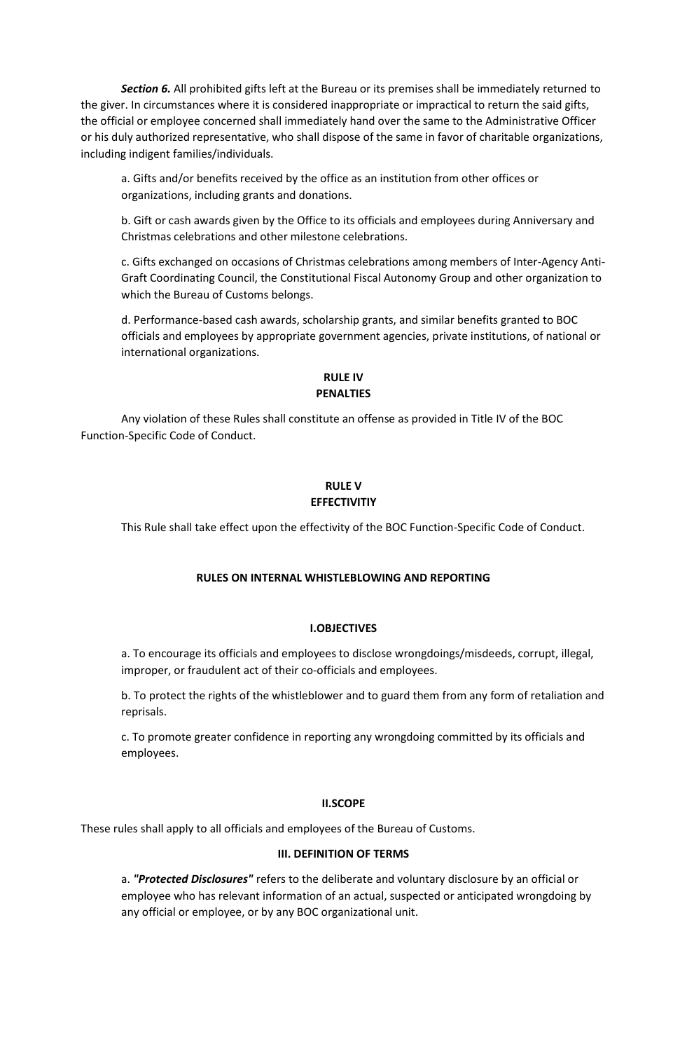*Section 6.* All prohibited gifts left at the Bureau or its premises shall be immediately returned to the giver. In circumstances where it is considered inappropriate or impractical to return the said gifts, the official or employee concerned shall immediately hand over the same to the Administrative Officer or his duly authorized representative, who shall dispose of the same in favor of charitable organizations, including indigent families/individuals.

a. Gifts and/or benefits received by the office as an institution from other offices or organizations, including grants and donations.

b. Gift or cash awards given by the Office to its officials and employees during Anniversary and Christmas celebrations and other milestone celebrations.

c. Gifts exchanged on occasions of Christmas celebrations among members of Inter-Agency Anti-Graft Coordinating Council, the Constitutional Fiscal Autonomy Group and other organization to which the Bureau of Customs belongs.

d. Performance-based cash awards, scholarship grants, and similar benefits granted to BOC officials and employees by appropriate government agencies, private institutions, of national or international organizations.

## **RULE IV PENALTIES**

Any violation of these Rules shall constitute an offense as provided in Title IV of the BOC Function-Specific Code of Conduct.

### **RULE V EFFECTIVITIY**

This Rule shall take effect upon the effectivity of the BOC Function-Specific Code of Conduct.

## **RULES ON INTERNAL WHISTLEBLOWING AND REPORTING**

### **I.OBJECTIVES**

a. To encourage its officials and employees to disclose wrongdoings/misdeeds, corrupt, illegal, improper, or fraudulent act of their co-officials and employees.

b. To protect the rights of the whistleblower and to guard them from any form of retaliation and reprisals.

c. To promote greater confidence in reporting any wrongdoing committed by its officials and employees.

### **II.SCOPE**

These rules shall apply to all officials and employees of the Bureau of Customs.

### **III. DEFINITION OF TERMS**

a. *"Protected Disclosures"* refers to the deliberate and voluntary disclosure by an official or employee who has relevant information of an actual, suspected or anticipated wrongdoing by any official or employee, or by any BOC organizational unit.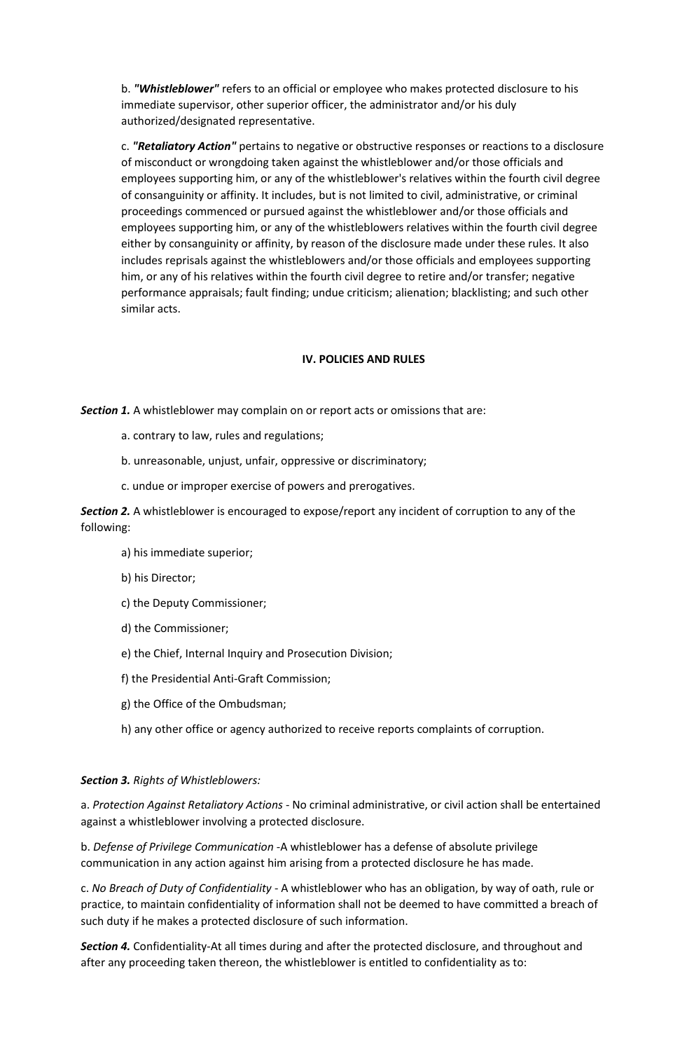b. *"Whistleblower"* refers to an official or employee who makes protected disclosure to his immediate supervisor, other superior officer, the administrator and/or his duly authorized/designated representative.

c. *"Retaliatory Action"* pertains to negative or obstructive responses or reactions to a disclosure of misconduct or wrongdoing taken against the whistleblower and/or those officials and employees supporting him, or any of the whistleblower's relatives within the fourth civil degree of consanguinity or affinity. It includes, but is not limited to civil, administrative, or criminal proceedings commenced or pursued against the whistleblower and/or those officials and employees supporting him, or any of the whistleblowers relatives within the fourth civil degree either by consanguinity or affinity, by reason of the disclosure made under these rules. It also includes reprisals against the whistleblowers and/or those officials and employees supporting him, or any of his relatives within the fourth civil degree to retire and/or transfer; negative performance appraisals; fault finding; undue criticism; alienation; blacklisting; and such other similar acts.

### **IV. POLICIES AND RULES**

*Section 1.* A whistleblower may complain on or report acts or omissions that are:

- a. contrary to law, rules and regulations;
- b. unreasonable, unjust, unfair, oppressive or discriminatory;
- c. undue or improper exercise of powers and prerogatives.

*Section 2.* A whistleblower is encouraged to expose/report any incident of corruption to any of the following:

- a) his immediate superior;
- b) his Director;
- c) the Deputy Commissioner;
- d) the Commissioner;
- e) the Chief, Internal Inquiry and Prosecution Division;
- f) the Presidential Anti-Graft Commission;
- g) the Office of the Ombudsman;
- h) any other office or agency authorized to receive reports complaints of corruption.

### *Section 3. Rights of Whistleblowers:*

a. *Protection Against Retaliatory Actions* - No criminal administrative, or civil action shall be entertained against a whistleblower involving a protected disclosure.

b. *Defense of Privilege Communication* -A whistleblower has a defense of absolute privilege communication in any action against him arising from a protected disclosure he has made.

c. *No Breach of Duty of Confidentiality* - A whistleblower who has an obligation, by way of oath, rule or practice, to maintain confidentiality of information shall not be deemed to have committed a breach of such duty if he makes a protected disclosure of such information.

*Section 4.* Confidentiality-At all times during and after the protected disclosure, and throughout and after any proceeding taken thereon, the whistleblower is entitled to confidentiality as to: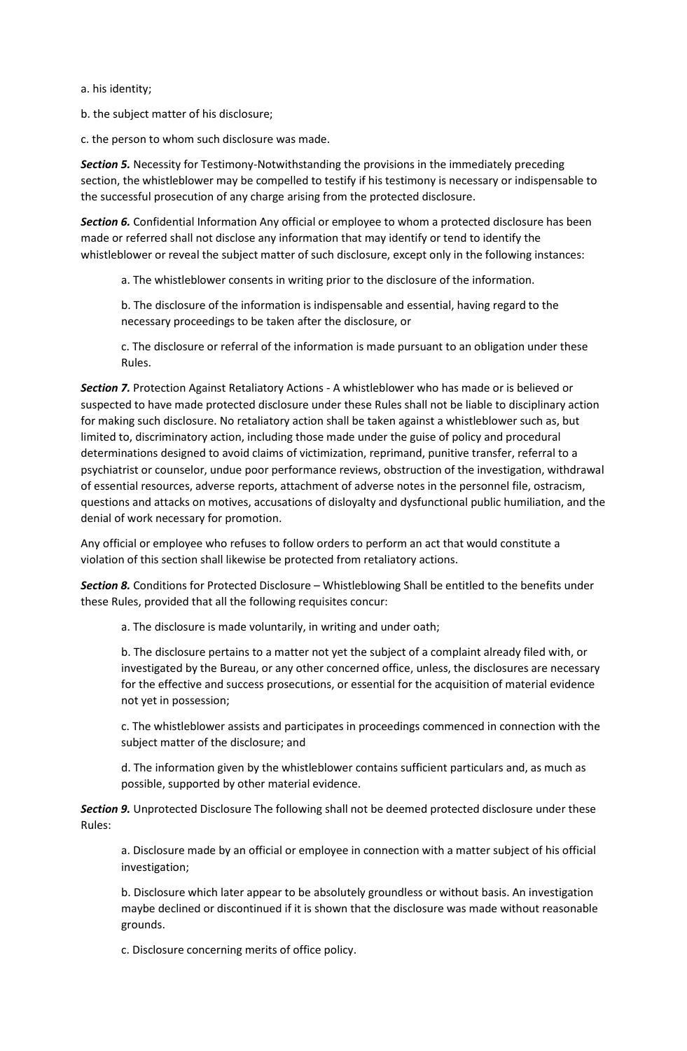a. his identity;

b. the subject matter of his disclosure;

c. the person to whom such disclosure was made.

*Section 5.* Necessity for Testimony-Notwithstanding the provisions in the immediately preceding section, the whistleblower may be compelled to testify if his testimony is necessary or indispensable to the successful prosecution of any charge arising from the protected disclosure.

*Section 6.* Confidential Information Any official or employee to whom a protected disclosure has been made or referred shall not disclose any information that may identify or tend to identify the whistleblower or reveal the subject matter of such disclosure, except only in the following instances:

a. The whistleblower consents in writing prior to the disclosure of the information.

b. The disclosure of the information is indispensable and essential, having regard to the necessary proceedings to be taken after the disclosure, or

c. The disclosure or referral of the information is made pursuant to an obligation under these Rules.

*Section 7.* Protection Against Retaliatory Actions - A whistleblower who has made or is believed or suspected to have made protected disclosure under these Rules shall not be liable to disciplinary action for making such disclosure. No retaliatory action shall be taken against a whistleblower such as, but limited to, discriminatory action, including those made under the guise of policy and procedural determinations designed to avoid claims of victimization, reprimand, punitive transfer, referral to a psychiatrist or counselor, undue poor performance reviews, obstruction of the investigation, withdrawal of essential resources, adverse reports, attachment of adverse notes in the personnel file, ostracism, questions and attacks on motives, accusations of disloyalty and dysfunctional public humiliation, and the denial of work necessary for promotion.

Any official or employee who refuses to follow orders to perform an act that would constitute a violation of this section shall likewise be protected from retaliatory actions.

*Section 8.* Conditions for Protected Disclosure – Whistleblowing Shall be entitled to the benefits under these Rules, provided that all the following requisites concur:

a. The disclosure is made voluntarily, in writing and under oath;

b. The disclosure pertains to a matter not yet the subject of a complaint already filed with, or investigated by the Bureau, or any other concerned office, unless, the disclosures are necessary for the effective and success prosecutions, or essential for the acquisition of material evidence not yet in possession;

c. The whistleblower assists and participates in proceedings commenced in connection with the subject matter of the disclosure; and

d. The information given by the whistleblower contains sufficient particulars and, as much as possible, supported by other material evidence.

*Section 9.* Unprotected Disclosure The following shall not be deemed protected disclosure under these Rules:

a. Disclosure made by an official or employee in connection with a matter subject of his official investigation;

b. Disclosure which later appear to be absolutely groundless or without basis. An investigation maybe declined or discontinued if it is shown that the disclosure was made without reasonable grounds.

c. Disclosure concerning merits of office policy.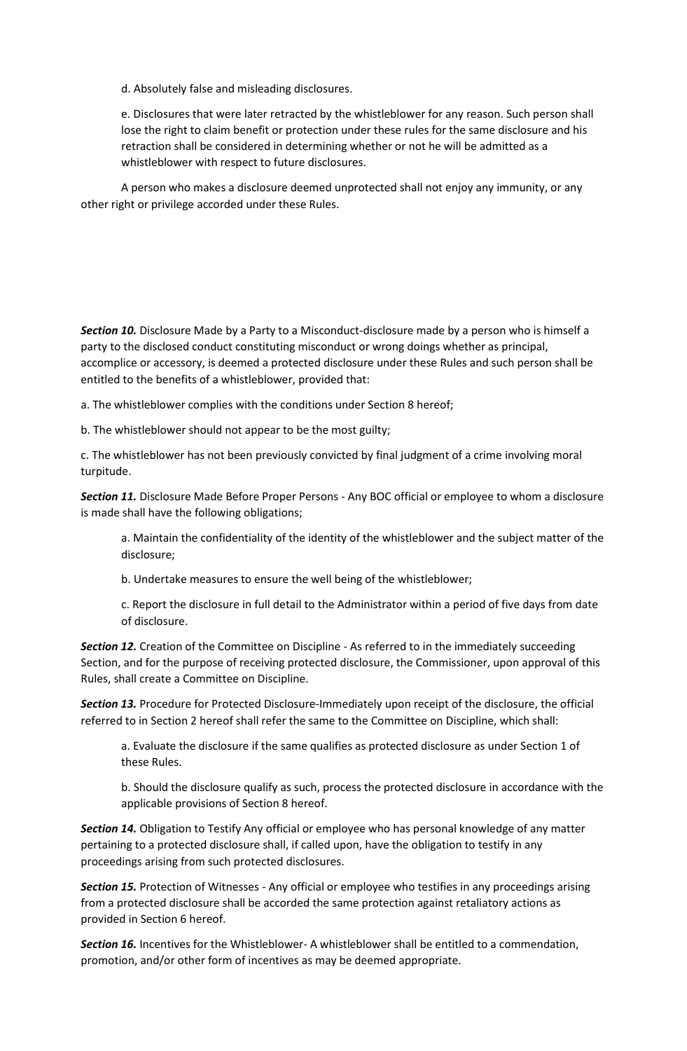d. Absolutely false and misleading disclosures.

e. Disclosures that were later retracted by the whistleblower for any reason. Such person shall lose the right to claim benefit or protection under these rules for the same disclosure and his retraction shall be considered in determining whether or not he will be admitted as a whistleblower with respect to future disclosures.

A person who makes a disclosure deemed unprotected shall not enjoy any immunity, or any other right or privilege accorded under these Rules.

*Section 10.* Disclosure Made by a Party to a Misconduct-disclosure made by a person who is himself a party to the disclosed conduct constituting misconduct or wrong doings whether as principal, accomplice or accessory, is deemed a protected disclosure under these Rules and such person shall be entitled to the benefits of a whistleblower, provided that:

a. The whistleblower complies with the conditions under Section 8 hereof;

b. The whistleblower should not appear to be the most guilty;

c. The whistleblower has not been previously convicted by final judgment of a crime involving moral turpitude.

*Section 11.* Disclosure Made Before Proper Persons - Any BOC official or employee to whom a disclosure is made shall have the following obligations;

a. Maintain the confidentiality of the identity of the whistleblower and the subject matter of the disclosure;

b. Undertake measures to ensure the well being of the whistleblower;

c. Report the disclosure in full detail to the Administrator within a period of five days from date of disclosure.

**Section 12.** Creation of the Committee on Discipline - As referred to in the immediately succeeding Section, and for the purpose of receiving protected disclosure, the Commissioner, upon approval of this Rules, shall create a Committee on Discipline.

*Section 13.* Procedure for Protected Disclosure-Immediately upon receipt of the disclosure, the official referred to in Section 2 hereof shall refer the same to the Committee on Discipline, which shall:

a. Evaluate the disclosure if the same qualifies as protected disclosure as under Section 1 of these Rules.

b. Should the disclosure qualify as such, process the protected disclosure in accordance with the applicable provisions of Section 8 hereof.

*Section 14.* Obligation to Testify Any official or employee who has personal knowledge of any matter pertaining to a protected disclosure shall, if called upon, have the obligation to testify in any proceedings arising from such protected disclosures.

*Section 15.* Protection of Witnesses - Any official or employee who testifies in any proceedings arising from a protected disclosure shall be accorded the same protection against retaliatory actions as provided in Section 6 hereof.

*Section 16.* Incentives for the Whistleblower- A whistleblower shall be entitled to a commendation, promotion, and/or other form of incentives as may be deemed appropriate.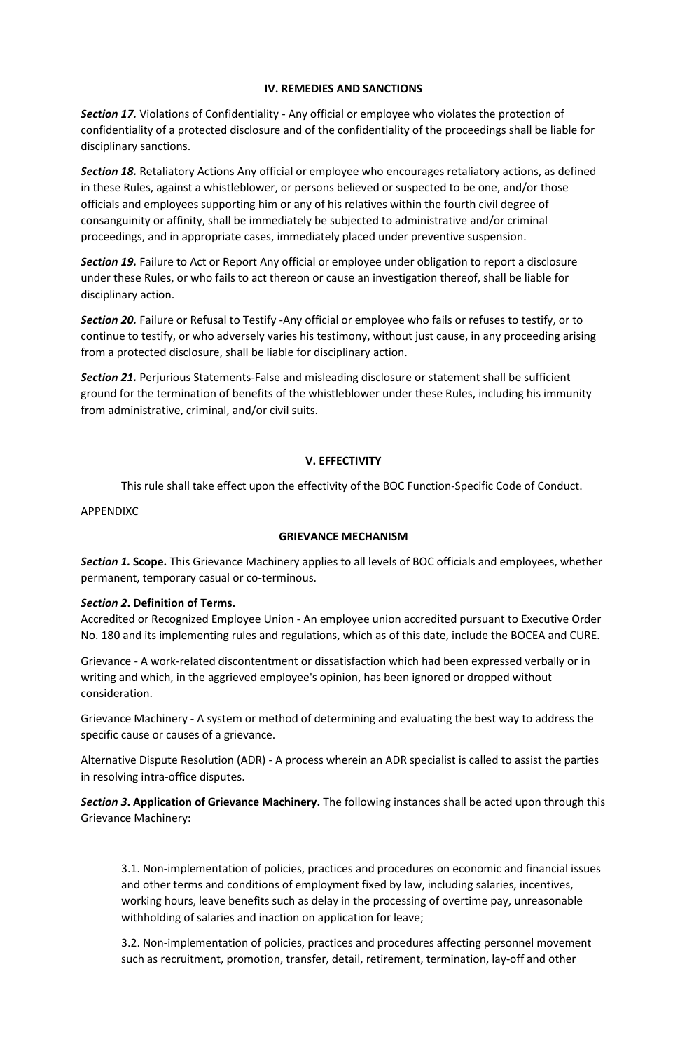### **IV. REMEDIES AND SANCTIONS**

*Section 17.* Violations of Confidentiality - Any official or employee who violates the protection of confidentiality of a protected disclosure and of the confidentiality of the proceedings shall be liable for disciplinary sanctions.

*Section 18.* Retaliatory Actions Any official or employee who encourages retaliatory actions, as defined in these Rules, against a whistleblower, or persons believed or suspected to be one, and/or those officials and employees supporting him or any of his relatives within the fourth civil degree of consanguinity or affinity, shall be immediately be subjected to administrative and/or criminal proceedings, and in appropriate cases, immediately placed under preventive suspension.

*Section 19.* Failure to Act or Report Any official or employee under obligation to report a disclosure under these Rules, or who fails to act thereon or cause an investigation thereof, shall be liable for disciplinary action.

*Section 20.* Failure or Refusal to Testify -Any official or employee who fails or refuses to testify, or to continue to testify, or who adversely varies his testimony, without just cause, in any proceeding arising from a protected disclosure, shall be liable for disciplinary action.

*Section 21.* Perjurious Statements-False and misleading disclosure or statement shall be sufficient ground for the termination of benefits of the whistleblower under these Rules, including his immunity from administrative, criminal, and/or civil suits.

## **V. EFFECTIVITY**

This rule shall take effect upon the effectivity of the BOC Function-Specific Code of Conduct.

APPENDIXC

### **GRIEVANCE MECHANISM**

*Section 1.* **Scope.** This Grievance Machinery applies to all levels of BOC officials and employees, whether permanent, temporary casual or co-terminous.

### *Section 2***. Definition of Terms.**

Accredited or Recognized Employee Union - An employee union accredited pursuant to Executive Order No. 180 and its implementing rules and regulations, which as of this date, include the BOCEA and CURE.

Grievance - A work-related discontentment or dissatisfaction which had been expressed verbally or in writing and which, in the aggrieved employee's opinion, has been ignored or dropped without consideration.

Grievance Machinery - A system or method of determining and evaluating the best way to address the specific cause or causes of a grievance.

Alternative Dispute Resolution (ADR) - A process wherein an ADR specialist is called to assist the parties in resolving intra-office disputes.

*Section 3***. Application of Grievance Machinery.** The following instances shall be acted upon through this Grievance Machinery:

3.1. Non-implementation of policies, practices and procedures on economic and financial issues and other terms and conditions of employment fixed by law, including salaries, incentives, working hours, leave benefits such as delay in the processing of overtime pay, unreasonable withholding of salaries and inaction on application for leave;

3.2. Non-implementation of policies, practices and procedures affecting personnel movement such as recruitment, promotion, transfer, detail, retirement, termination, lay-off and other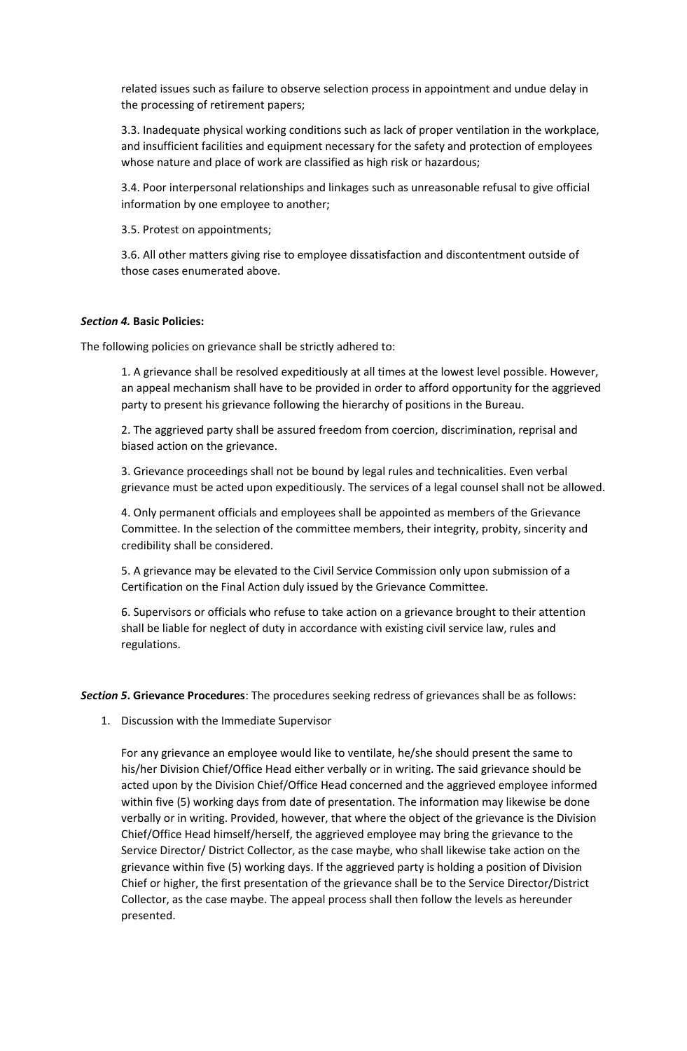related issues such as failure to observe selection process in appointment and undue delay in the processing of retirement papers;

3.3. Inadequate physical working conditions such as lack of proper ventilation in the workplace, and insufficient facilities and equipment necessary for the safety and protection of employees whose nature and place of work are classified as high risk or hazardous;

3.4. Poor interpersonal relationships and linkages such as unreasonable refusal to give official information by one employee to another;

3.5. Protest on appointments;

3.6. All other matters giving rise to employee dissatisfaction and discontentment outside of those cases enumerated above.

### *Section 4.* **Basic Policies:**

The following policies on grievance shall be strictly adhered to:

1. A grievance shall be resolved expeditiously at all times at the lowest level possible. However, an appeal mechanism shall have to be provided in order to afford opportunity for the aggrieved party to present his grievance following the hierarchy of positions in the Bureau.

2. The aggrieved party shall be assured freedom from coercion, discrimination, reprisal and biased action on the grievance.

3. Grievance proceedings shall not be bound by legal rules and technicalities. Even verbal grievance must be acted upon expeditiously. The services of a legal counsel shall not be allowed.

4. Only permanent officials and employees shall be appointed as members of the Grievance Committee. In the selection of the committee members, their integrity, probity, sincerity and credibility shall be considered.

5. A grievance may be elevated to the Civil Service Commission only upon submission of a Certification on the Final Action duly issued by the Grievance Committee.

6. Supervisors or officials who refuse to take action on a grievance brought to their attention shall be liable for neglect of duty in accordance with existing civil service law, rules and regulations.

*Section 5***. Grievance Procedures**: The procedures seeking redress of grievances shall be as follows:

1. Discussion with the Immediate Supervisor

For any grievance an employee would like to ventilate, he/she should present the same to his/her Division Chief/Office Head either verbally or in writing. The said grievance should be acted upon by the Division Chief/Office Head concerned and the aggrieved employee informed within five (5) working days from date of presentation. The information may likewise be done verbally or in writing. Provided, however, that where the object of the grievance is the Division Chief/Office Head himself/herself, the aggrieved employee may bring the grievance to the Service Director/ District Collector, as the case maybe, who shall likewise take action on the grievance within five (5) working days. If the aggrieved party is holding a position of Division Chief or higher, the first presentation of the grievance shall be to the Service Director/District Collector, as the case maybe. The appeal process shall then follow the levels as hereunder presented.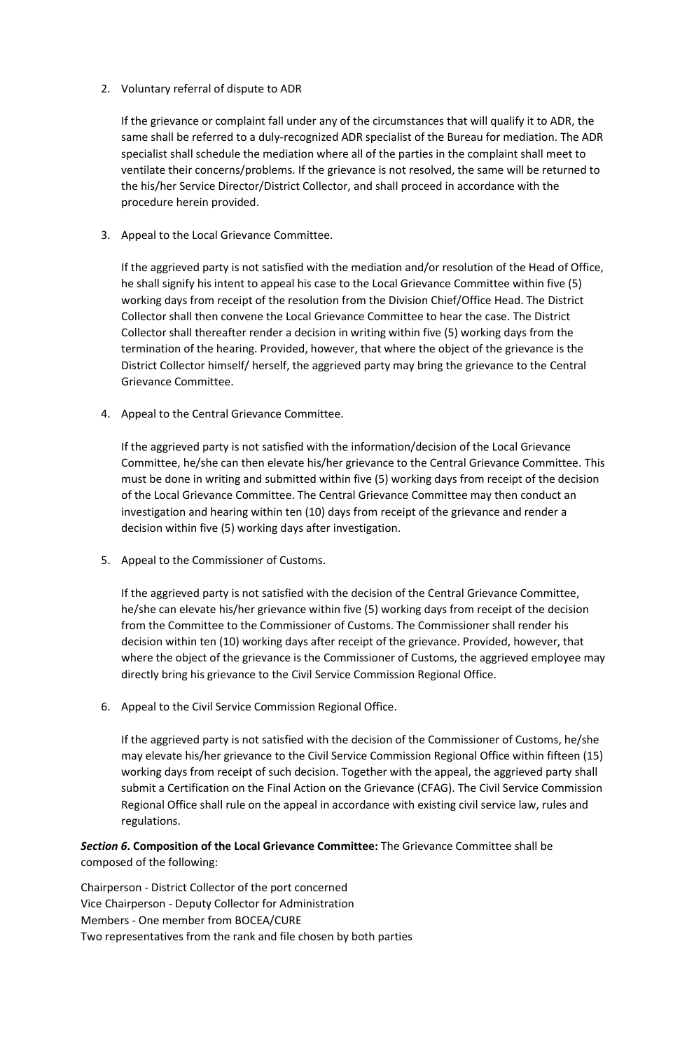## 2. Voluntary referral of dispute to ADR

If the grievance or complaint fall under any of the circumstances that will qualify it to ADR, the same shall be referred to a duly-recognized ADR specialist of the Bureau for mediation. The ADR specialist shall schedule the mediation where all of the parties in the complaint shall meet to ventilate their concerns/problems. If the grievance is not resolved, the same will be returned to the his/her Service Director/District Collector, and shall proceed in accordance with the procedure herein provided.

3. Appeal to the Local Grievance Committee.

If the aggrieved party is not satisfied with the mediation and/or resolution of the Head of Office, he shall signify his intent to appeal his case to the Local Grievance Committee within five (5) working days from receipt of the resolution from the Division Chief/Office Head. The District Collector shall then convene the Local Grievance Committee to hear the case. The District Collector shall thereafter render a decision in writing within five (5) working days from the termination of the hearing. Provided, however, that where the object of the grievance is the District Collector himself/ herself, the aggrieved party may bring the grievance to the Central Grievance Committee.

4. Appeal to the Central Grievance Committee.

If the aggrieved party is not satisfied with the information/decision of the Local Grievance Committee, he/she can then elevate his/her grievance to the Central Grievance Committee. This must be done in writing and submitted within five (5) working days from receipt of the decision of the Local Grievance Committee. The Central Grievance Committee may then conduct an investigation and hearing within ten (10) days from receipt of the grievance and render a decision within five (5) working days after investigation.

5. Appeal to the Commissioner of Customs.

If the aggrieved party is not satisfied with the decision of the Central Grievance Committee, he/she can elevate his/her grievance within five (5) working days from receipt of the decision from the Committee to the Commissioner of Customs. The Commissioner shall render his decision within ten (10) working days after receipt of the grievance. Provided, however, that where the object of the grievance is the Commissioner of Customs, the aggrieved employee may directly bring his grievance to the Civil Service Commission Regional Office.

6. Appeal to the Civil Service Commission Regional Office.

If the aggrieved party is not satisfied with the decision of the Commissioner of Customs, he/she may elevate his/her grievance to the Civil Service Commission Regional Office within fifteen (15) working days from receipt of such decision. Together with the appeal, the aggrieved party shall submit a Certification on the Final Action on the Grievance (CFAG). The Civil Service Commission Regional Office shall rule on the appeal in accordance with existing civil service law, rules and regulations.

*Section 6***. Composition of the Local Grievance Committee:** The Grievance Committee shall be composed of the following:

Chairperson - District Collector of the port concerned Vice Chairperson - Deputy Collector for Administration Members - One member from BOCEA/CURE Two representatives from the rank and file chosen by both parties